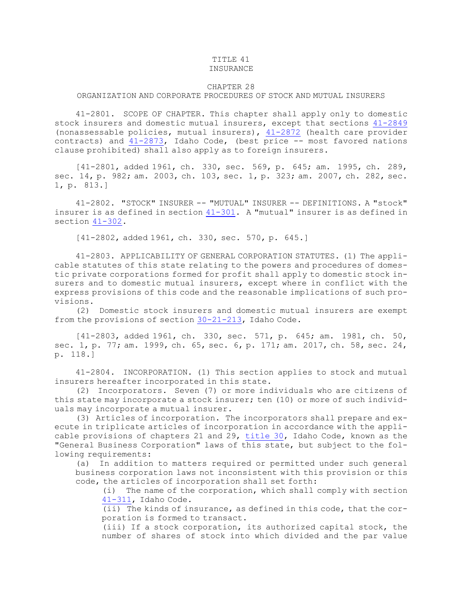## TITLE 41

## INSURANCE

## CHAPTER 28

## ORGANIZATION AND CORPORATE PROCEDURES OF STOCK AND MUTUAL INSURERS

41-2801. SCOPE OF CHAPTER. This chapter shall apply only to domestic stock insurers and domestic mutual insurers, except that sections [41-2849](https://legislature.idaho.gov/statutesrules/idstat/Title41/T41CH28/SECT41-2849) (nonassessable policies, mutual insurers), [41-2872](https://legislature.idaho.gov/statutesrules/idstat/Title41/T41CH28/SECT41-2872) (health care provider contracts) and  $41-2873$ , Idaho Code, (best price  $-$ - most favored nations clause prohibited) shall also apply as to foreign insurers.

[41-2801, added 1961, ch. 330, sec. 569, p. 645; am. 1995, ch. 289, sec. 14, p. 982; am. 2003, ch. 103, sec. 1, p. 323; am. 2007, ch. 282, sec. 1, p. 813.]

41-2802. "STOCK" INSURER -- "MUTUAL" INSURER -- DEFINITIONS. A "stock" insurer is as defined in section [41-301](https://legislature.idaho.gov/statutesrules/idstat/Title41/T41CH3/SECT41-301). A "mutual" insurer is as defined in section [41-302](https://legislature.idaho.gov/statutesrules/idstat/Title41/T41CH3/SECT41-302).

[41-2802, added 1961, ch. 330, sec. 570, p. 645.]

41-2803. APPLICABILITY OF GENERAL CORPORATION STATUTES. (1) The applicable statutes of this state relating to the powers and procedures of domestic private corporations formed for profit shall apply to domestic stock insurers and to domestic mutual insurers, except where in conflict with the express provisions of this code and the reasonable implications of such provisions.

(2) Domestic stock insurers and domestic mutual insurers are exempt from the provisions of section [30-21-213](https://legislature.idaho.gov/statutesrules/idstat/Title30/T30CH21/SECT30-21-213), Idaho Code.

[41-2803, added 1961, ch. 330, sec. 571, p. 645; am. 1981, ch. 50, sec. 1, p. 77; am. 1999, ch. 65, sec. 6, p. 171; am. 2017, ch. 58, sec. 24, p. 118.]

41-2804. INCORPORATION. (1) This section applies to stock and mutual insurers hereafter incorporated in this state.

(2) Incorporators. Seven (7) or more individuals who are citizens of this state may incorporate <sup>a</sup> stock insurer; ten (10) or more of such individuals may incorporate <sup>a</sup> mutual insurer.

(3) Articles of incorporation. The incorporators shall prepare and execute in triplicate articles of incorporation in accordance with the applicable provisions of chapters 21 and 29, [title](https://legislature.idaho.gov/statutesrules/idstat/Title30/) 30, Idaho Code, known as the "General Business Corporation" laws of this state, but subject to the following requirements:

(a) In addition to matters required or permitted under such general business corporation laws not inconsistent with this provision or this code, the articles of incorporation shall set forth:

(i) The name of the corporation, which shall comply with section [41-311](https://legislature.idaho.gov/statutesrules/idstat/Title41/T41CH3/SECT41-311), Idaho Code.

(ii) The kinds of insurance, as defined in this code, that the corporation is formed to transact.

(iii) If <sup>a</sup> stock corporation, its authorized capital stock, the number of shares of stock into which divided and the par value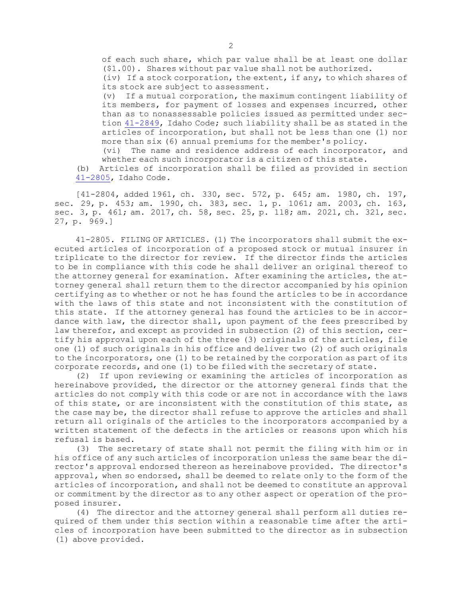of each such share, which par value shall be at least one dollar (\$1.00). Shares without par value shall not be authorized.

(iv) If <sup>a</sup> stock corporation, the extent, if any, to which shares of its stock are subject to assessment.

(v) If <sup>a</sup> mutual corporation, the maximum contingent liability of its members, for payment of losses and expenses incurred, other than as to nonassessable policies issued as permitted under section [41-2849](https://legislature.idaho.gov/statutesrules/idstat/Title41/T41CH28/SECT41-2849), Idaho Code; such liability shall be as stated in the articles of incorporation, but shall not be less than one (1) nor more than six (6) annual premiums for the member's policy.

(vi) The name and residence address of each incorporator, and whether each such incorporator is <sup>a</sup> citizen of this state.

(b) Articles of incorporation shall be filed as provided in section [41-2805](https://legislature.idaho.gov/statutesrules/idstat/Title41/T41CH28/SECT41-2805), Idaho Code.

[41-2804, added 1961, ch. 330, sec. 572, p. 645; am. 1980, ch. 197, sec. 29, p. 453; am. 1990, ch. 383, sec. 1, p. 1061; am. 2003, ch. 163, sec. 3, p. 461; am. 2017, ch. 58, sec. 25, p. 118; am. 2021, ch. 321, sec. 27, p. 969.]

41-2805. FILING OF ARTICLES. (1) The incorporators shall submit the executed articles of incorporation of <sup>a</sup> proposed stock or mutual insurer in triplicate to the director for review. If the director finds the articles to be in compliance with this code he shall deliver an original thereof to the attorney general for examination. After examining the articles, the attorney general shall return them to the director accompanied by his opinion certifying as to whether or not he has found the articles to be in accordance with the laws of this state and not inconsistent with the constitution of this state. If the attorney general has found the articles to be in accordance with law, the director shall, upon payment of the fees prescribed by law therefor, and except as provided in subsection (2) of this section, certify his approval upon each of the three (3) originals of the articles, file one (1) of such originals in his office and deliver two (2) of such originals to the incorporators, one (1) to be retained by the corporation as part of its corporate records, and one (1) to be filed with the secretary of state.

(2) If upon reviewing or examining the articles of incorporation as hereinabove provided, the director or the attorney general finds that the articles do not comply with this code or are not in accordance with the laws of this state, or are inconsistent with the constitution of this state, as the case may be, the director shall refuse to approve the articles and shall return all originals of the articles to the incorporators accompanied by <sup>a</sup> written statement of the defects in the articles or reasons upon which his refusal is based.

(3) The secretary of state shall not permit the filing with him or in his office of any such articles of incorporation unless the same bear the director's approval endorsed thereon as hereinabove provided. The director's approval, when so endorsed, shall be deemed to relate only to the form of the articles of incorporation, and shall not be deemed to constitute an approval or commitment by the director as to any other aspect or operation of the proposed insurer.

(4) The director and the attorney general shall perform all duties required of them under this section within <sup>a</sup> reasonable time after the articles of incorporation have been submitted to the director as in subsection (1) above provided.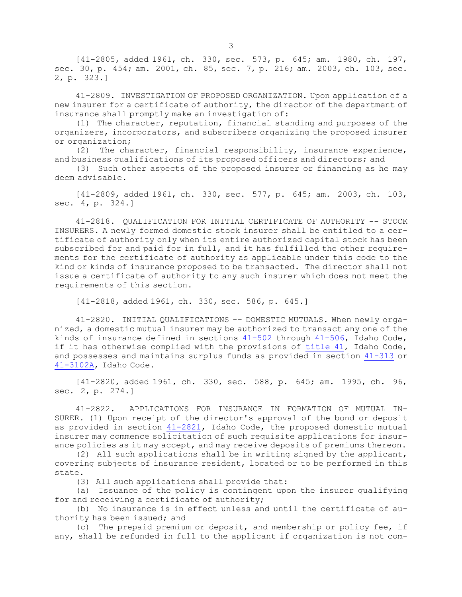[41-2805, added 1961, ch. 330, sec. 573, p. 645; am. 1980, ch. 197, sec. 30, p. 454; am. 2001, ch. 85, sec. 7, p. 216; am. 2003, ch. 103, sec. 2, p. 323.]

41-2809. INVESTIGATION OF PROPOSED ORGANIZATION. Upon application of <sup>a</sup> new insurer for <sup>a</sup> certificate of authority, the director of the department of insurance shall promptly make an investigation of:

(1) The character, reputation, financial standing and purposes of the organizers, incorporators, and subscribers organizing the proposed insurer or organization;

(2) The character, financial responsibility, insurance experience, and business qualifications of its proposed officers and directors; and

(3) Such other aspects of the proposed insurer or financing as he may deem advisable.

[41-2809, added 1961, ch. 330, sec. 577, p. 645; am. 2003, ch. 103, sec. 4, p. 324.]

41-2818. QUALIFICATION FOR INITIAL CERTIFICATE OF AUTHORITY -- STOCK INSURERS. <sup>A</sup> newly formed domestic stock insurer shall be entitled to <sup>a</sup> certificate of authority only when its entire authorized capital stock has been subscribed for and paid for in full, and it has fulfilled the other requirements for the certificate of authority as applicable under this code to the kind or kinds of insurance proposed to be transacted. The director shall not issue <sup>a</sup> certificate of authority to any such insurer which does not meet the requirements of this section.

[41-2818, added 1961, ch. 330, sec. 586, p. 645.]

41-2820. INITIAL QUALIFICATIONS -- DOMESTIC MUTUALS. When newly organized, <sup>a</sup> domestic mutual insurer may be authorized to transact any one of the kinds of insurance defined in sections [41-502](https://legislature.idaho.gov/statutesrules/idstat/Title41/T41CH5/SECT41-502) through [41-506](https://legislature.idaho.gov/statutesrules/idstat/Title41/T41CH5/SECT41-506), Idaho Code, if it has otherwise complied with the provisions of [title](https://legislature.idaho.gov/statutesrules/idstat/Title41/) 41, Idaho Code, and possesses and maintains surplus funds as provided in section [41-313](https://legislature.idaho.gov/statutesrules/idstat/Title41/T41CH3/SECT41-313) or [41-3102A](https://legislature.idaho.gov/statutesrules/idstat/Title41/T41CH31/SECT41-3102A), Idaho Code.

[41-2820, added 1961, ch. 330, sec. 588, p. 645; am. 1995, ch. 96, sec. 2, p. 274.]

41-2822. APPLICATIONS FOR INSURANCE IN FORMATION OF MUTUAL IN-SURER. (1) Upon receipt of the director's approval of the bond or deposit as provided in section [41-2821](https://legislature.idaho.gov/statutesrules/idstat/Title41/T41CH28/SECT41-2821), Idaho Code, the proposed domestic mutual insurer may commence solicitation of such requisite applications for insurance policies as it may accept, and may receive deposits of premiums thereon.

(2) All such applications shall be in writing signed by the applicant, covering subjects of insurance resident, located or to be performed in this state.

(3) All such applications shall provide that:

(a) Issuance of the policy is contingent upon the insurer qualifying for and receiving <sup>a</sup> certificate of authority;

(b) No insurance is in effect unless and until the certificate of authority has been issued; and

(c) The prepaid premium or deposit, and membership or policy fee, if any, shall be refunded in full to the applicant if organization is not com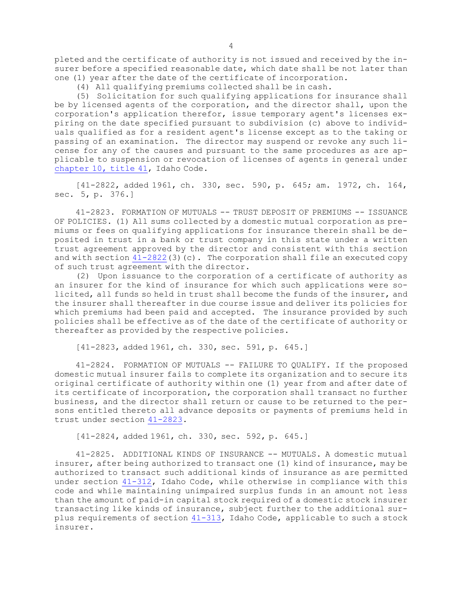pleted and the certificate of authority is not issued and received by the insurer before <sup>a</sup> specified reasonable date, which date shall be not later than one (1) year after the date of the certificate of incorporation.

(4) All qualifying premiums collected shall be in cash.

(5) Solicitation for such qualifying applications for insurance shall be by licensed agents of the corporation, and the director shall, upon the corporation's application therefor, issue temporary agent's licenses expiring on the date specified pursuant to subdivision (c) above to individuals qualified as for <sup>a</sup> resident agent's license except as to the taking or passing of an examination. The director may suspend or revoke any such license for any of the causes and pursuant to the same procedures as are applicable to suspension or revocation of licenses of agents in general under [chapter](https://legislature.idaho.gov/statutesrules/idstat/Title41/T41CH10) 10, title 41, Idaho Code.

[41-2822, added 1961, ch. 330, sec. 590, p. 645; am. 1972, ch. 164, sec. 5, p. 376.]

41-2823. FORMATION OF MUTUALS -- TRUST DEPOSIT OF PREMIUMS -- ISSUANCE OF POLICIES. (1) All sums collected by <sup>a</sup> domestic mutual corporation as premiums or fees on qualifying applications for insurance therein shall be deposited in trust in <sup>a</sup> bank or trust company in this state under <sup>a</sup> written trust agreement approved by the director and consistent with this section and with section  $41-2822(3)(c)$  $41-2822(3)(c)$ . The corporation shall file an executed copy of such trust agreement with the director.

(2) Upon issuance to the corporation of <sup>a</sup> certificate of authority as an insurer for the kind of insurance for which such applications were solicited, all funds so held in trust shall become the funds of the insurer, and the insurer shall thereafter in due course issue and deliver its policies for which premiums had been paid and accepted. The insurance provided by such policies shall be effective as of the date of the certificate of authority or thereafter as provided by the respective policies.

[41-2823, added 1961, ch. 330, sec. 591, p. 645.]

41-2824. FORMATION OF MUTUALS -- FAILURE TO QUALIFY. If the proposed domestic mutual insurer fails to complete its organization and to secure its original certificate of authority within one (1) year from and after date of its certificate of incorporation, the corporation shall transact no further business, and the director shall return or cause to be returned to the persons entitled thereto all advance deposits or payments of premiums held in trust under section [41-2823](https://legislature.idaho.gov/statutesrules/idstat/Title41/T41CH28/SECT41-2823).

[41-2824, added 1961, ch. 330, sec. 592, p. 645.]

41-2825. ADDITIONAL KINDS OF INSURANCE -- MUTUALS. A domestic mutual insurer, after being authorized to transact one (1) kind of insurance, may be authorized to transact such additional kinds of insurance as are permitted under section [41-312](https://legislature.idaho.gov/statutesrules/idstat/Title41/T41CH3/SECT41-312), Idaho Code, while otherwise in compliance with this code and while maintaining unimpaired surplus funds in an amount not less than the amount of paid-in capital stock required of <sup>a</sup> domestic stock insurer transacting like kinds of insurance, subject further to the additional surplus requirements of section  $41-313$ , Idaho Code, applicable to such a stock insurer.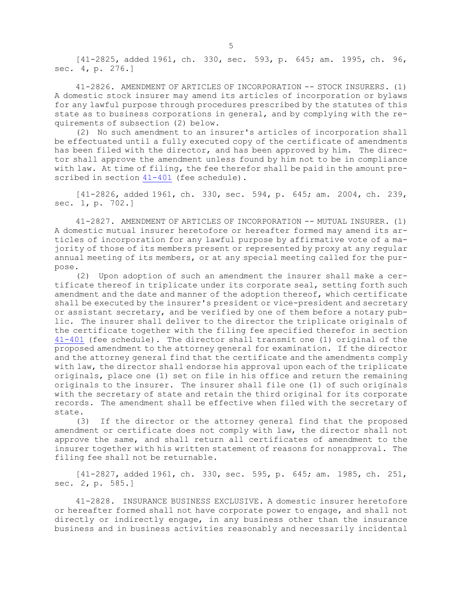[41-2825, added 1961, ch. 330, sec. 593, p. 645; am. 1995, ch. 96, sec. 4, p. 276.]

41-2826. AMENDMENT OF ARTICLES OF INCORPORATION -- STOCK INSURERS. (1) <sup>A</sup> domestic stock insurer may amend its articles of incorporation or bylaws for any lawful purpose through procedures prescribed by the statutes of this state as to business corporations in general, and by complying with the requirements of subsection (2) below.

(2) No such amendment to an insurer's articles of incorporation shall be effectuated until <sup>a</sup> fully executed copy of the certificate of amendments has been filed with the director, and has been approved by him. The director shall approve the amendment unless found by him not to be in compliance with law. At time of filing, the fee therefor shall be paid in the amount prescribed in section [41-401](https://legislature.idaho.gov/statutesrules/idstat/Title41/T41CH4/SECT41-401) (fee schedule).

[41-2826, added 1961, ch. 330, sec. 594, p. 645; am. 2004, ch. 239, sec. 1, p. 702.]

41-2827. AMENDMENT OF ARTICLES OF INCORPORATION -- MUTUAL INSURER. (1) <sup>A</sup> domestic mutual insurer heretofore or hereafter formed may amend its articles of incorporation for any lawful purpose by affirmative vote of <sup>a</sup> majority of those of its members present or represented by proxy at any regular annual meeting of its members, or at any special meeting called for the purpose.

(2) Upon adoption of such an amendment the insurer shall make <sup>a</sup> certificate thereof in triplicate under its corporate seal, setting forth such amendment and the date and manner of the adoption thereof, which certificate shall be executed by the insurer's president or vice-president and secretary or assistant secretary, and be verified by one of them before <sup>a</sup> notary public. The insurer shall deliver to the director the triplicate originals of the certificate together with the filing fee specified therefor in section [41-401](https://legislature.idaho.gov/statutesrules/idstat/Title41/T41CH4/SECT41-401) (fee schedule). The director shall transmit one (1) original of the proposed amendment to the attorney general for examination. If the director and the attorney general find that the certificate and the amendments comply with law, the director shall endorse his approval upon each of the triplicate originals, place one (1) set on file in his office and return the remaining originals to the insurer. The insurer shall file one (1) of such originals with the secretary of state and retain the third original for its corporate records. The amendment shall be effective when filed with the secretary of state.

(3) If the director or the attorney general find that the proposed amendment or certificate does not comply with law, the director shall not approve the same, and shall return all certificates of amendment to the insurer together with his written statement of reasons for nonapproval. The filing fee shall not be returnable.

[41-2827, added 1961, ch. 330, sec. 595, p. 645; am. 1985, ch. 251, sec. 2, p. 585.]

41-2828. INSURANCE BUSINESS EXCLUSIVE. A domestic insurer heretofore or hereafter formed shall not have corporate power to engage, and shall not directly or indirectly engage, in any business other than the insurance business and in business activities reasonably and necessarily incidental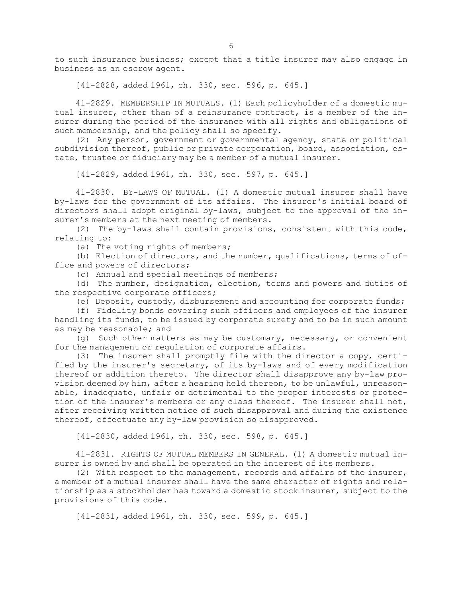to such insurance business; except that <sup>a</sup> title insurer may also engage in business as an escrow agent.

[41-2828, added 1961, ch. 330, sec. 596, p. 645.]

41-2829. MEMBERSHIP IN MUTUALS. (1) Each policyholder of <sup>a</sup> domestic mutual insurer, other than of <sup>a</sup> reinsurance contract, is <sup>a</sup> member of the insurer during the period of the insurance with all rights and obligations of such membership, and the policy shall so specify.

(2) Any person, government or governmental agency, state or political subdivision thereof, public or private corporation, board, association, estate, trustee or fiduciary may be <sup>a</sup> member of <sup>a</sup> mutual insurer.

[41-2829, added 1961, ch. 330, sec. 597, p. 645.]

41-2830. BY-LAWS OF MUTUAL. (1) A domestic mutual insurer shall have by-laws for the government of its affairs. The insurer's initial board of directors shall adopt original by-laws, subject to the approval of the insurer's members at the next meeting of members.

(2) The by-laws shall contain provisions, consistent with this code, relating to:

(a) The voting rights of members;

(b) Election of directors, and the number, qualifications, terms of office and powers of directors;

(c) Annual and special meetings of members;

(d) The number, designation, election, terms and powers and duties of the respective corporate officers;

(e) Deposit, custody, disbursement and accounting for corporate funds;

(f) Fidelity bonds covering such officers and employees of the insurer handling its funds, to be issued by corporate surety and to be in such amount as may be reasonable; and

(g) Such other matters as may be customary, necessary, or convenient for the management or regulation of corporate affairs.

(3) The insurer shall promptly file with the director <sup>a</sup> copy, certified by the insurer's secretary, of its by-laws and of every modification thereof or addition thereto. The director shall disapprove any by-law provision deemed by him, after <sup>a</sup> hearing held thereon, to be unlawful, unreasonable, inadequate, unfair or detrimental to the proper interests or protection of the insurer's members or any class thereof. The insurer shall not, after receiving written notice of such disapproval and during the existence thereof, effectuate any by-law provision so disapproved.

[41-2830, added 1961, ch. 330, sec. 598, p. 645.]

41-2831. RIGHTS OF MUTUAL MEMBERS IN GENERAL. (1) A domestic mutual insurer is owned by and shall be operated in the interest of its members.

(2) With respect to the management, records and affairs of the insurer, <sup>a</sup> member of <sup>a</sup> mutual insurer shall have the same character of rights and relationship as <sup>a</sup> stockholder has toward <sup>a</sup> domestic stock insurer, subject to the provisions of this code.

[41-2831, added 1961, ch. 330, sec. 599, p. 645.]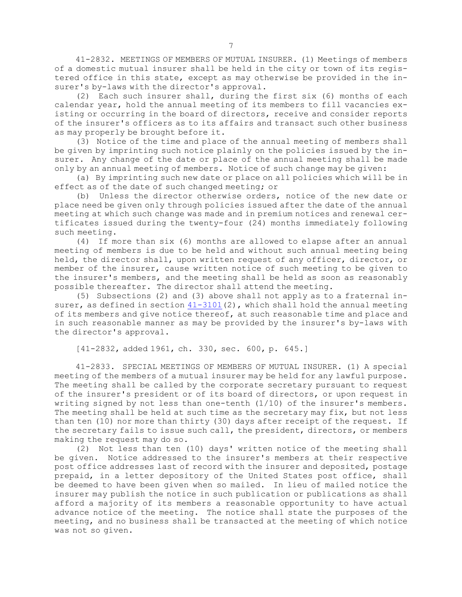41-2832. MEETINGS OF MEMBERS OF MUTUAL INSURER. (1) Meetings of members of <sup>a</sup> domestic mutual insurer shall be held in the city or town of its registered office in this state, except as may otherwise be provided in the insurer's by-laws with the director's approval.

(2) Each such insurer shall, during the first six (6) months of each calendar year, hold the annual meeting of its members to fill vacancies existing or occurring in the board of directors, receive and consider reports of the insurer's officers as to its affairs and transact such other business as may properly be brought before it.

(3) Notice of the time and place of the annual meeting of members shall be given by imprinting such notice plainly on the policies issued by the insurer. Any change of the date or place of the annual meeting shall be made only by an annual meeting of members. Notice of such change may be given:

(a) By imprinting such new date or place on all policies which will be in effect as of the date of such changed meeting; or

(b) Unless the director otherwise orders, notice of the new date or place need be given only through policies issued after the date of the annual meeting at which such change was made and in premium notices and renewal certificates issued during the twenty-four (24) months immediately following such meeting.

(4) If more than six (6) months are allowed to elapse after an annual meeting of members is due to be held and without such annual meeting being held, the director shall, upon written request of any officer, director, or member of the insurer, cause written notice of such meeting to be given to the insurer's members, and the meeting shall be held as soon as reasonably possible thereafter. The director shall attend the meeting.

(5) Subsections (2) and (3) above shall not apply as to <sup>a</sup> fraternal insurer, as defined in section  $41-3101(2)$  $41-3101(2)$ , which shall hold the annual meeting of its members and give notice thereof, at such reasonable time and place and in such reasonable manner as may be provided by the insurer's by-laws with the director's approval.

[41-2832, added 1961, ch. 330, sec. 600, p. 645.]

41-2833. SPECIAL MEETINGS OF MEMBERS OF MUTUAL INSURER. (1) <sup>A</sup> special meeting of the members of <sup>a</sup> mutual insurer may be held for any lawful purpose. The meeting shall be called by the corporate secretary pursuant to request of the insurer's president or of its board of directors, or upon request in writing signed by not less than one-tenth (1/10) of the insurer's members. The meeting shall be held at such time as the secretary may fix, but not less than ten (10) nor more than thirty (30) days after receipt of the request. If the secretary fails to issue such call, the president, directors, or members making the request may do so.

(2) Not less than ten (10) days' written notice of the meeting shall be given. Notice addressed to the insurer's members at their respective post office addresses last of record with the insurer and deposited, postage prepaid, in <sup>a</sup> letter depository of the United States post office, shall be deemed to have been given when so mailed. In lieu of mailed notice the insurer may publish the notice in such publication or publications as shall afford <sup>a</sup> majority of its members <sup>a</sup> reasonable opportunity to have actual advance notice of the meeting. The notice shall state the purposes of the meeting, and no business shall be transacted at the meeting of which notice was not so given.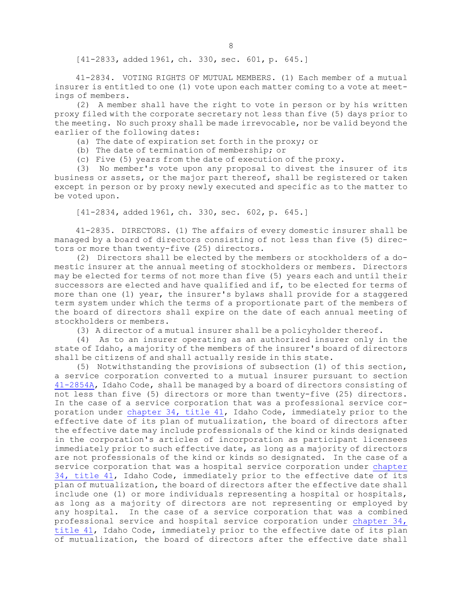[41-2833, added 1961, ch. 330, sec. 601, p. 645.]

41-2834. VOTING RIGHTS OF MUTUAL MEMBERS. (1) Each member of <sup>a</sup> mutual insurer is entitled to one (1) vote upon each matter coming to <sup>a</sup> vote at meetings of members.

(2) <sup>A</sup> member shall have the right to vote in person or by his written proxy filed with the corporate secretary not less than five (5) days prior to the meeting. No such proxy shall be made irrevocable, nor be valid beyond the earlier of the following dates:

(a) The date of expiration set forth in the proxy; or

(b) The date of termination of membership; or

(c) Five (5) years from the date of execution of the proxy.

(3) No member's vote upon any proposal to divest the insurer of its business or assets, or the major part thereof, shall be registered or taken except in person or by proxy newly executed and specific as to the matter to be voted upon.

[41-2834, added 1961, ch. 330, sec. 602, p. 645.]

41-2835. DIRECTORS. (1) The affairs of every domestic insurer shall be managed by <sup>a</sup> board of directors consisting of not less than five (5) directors or more than twenty-five (25) directors.

(2) Directors shall be elected by the members or stockholders of <sup>a</sup> domestic insurer at the annual meeting of stockholders or members. Directors may be elected for terms of not more than five (5) years each and until their successors are elected and have qualified and if, to be elected for terms of more than one (1) year, the insurer's bylaws shall provide for a staggered term system under which the terms of <sup>a</sup> proportionate part of the members of the board of directors shall expire on the date of each annual meeting of stockholders or members.

(3) <sup>A</sup> director of <sup>a</sup> mutual insurer shall be <sup>a</sup> policyholder thereof.

(4) As to an insurer operating as an authorized insurer only in the state of Idaho, <sup>a</sup> majority of the members of the insurer's board of directors shall be citizens of and shall actually reside in this state.

(5) Notwithstanding the provisions of subsection (1) of this section, <sup>a</sup> service corporation converted to <sup>a</sup> mutual insurer pursuant to section [41-2854A](https://legislature.idaho.gov/statutesrules/idstat/Title41/T41CH28/SECT41-2854A), Idaho Code, shall be managed by <sup>a</sup> board of directors consisting of not less than five (5) directors or more than twenty-five (25) directors. In the case of <sup>a</sup> service corporation that was <sup>a</sup> professional service corporation under [chapter](https://legislature.idaho.gov/statutesrules/idstat/Title41/T41CH34) 34, title 41, Idaho Code, immediately prior to the effective date of its plan of mutualization, the board of directors after the effective date may include professionals of the kind or kinds designated in the corporation's articles of incorporation as participant licensees immediately prior to such effective date, as long as <sup>a</sup> majority of directors are not professionals of the kind or kinds so designated. In the case of <sup>a</sup> service corporation that was <sup>a</sup> hospital service corporation under [chapter](https://legislature.idaho.gov/statutesrules/idstat/Title41/T41CH34) 34, [title](https://legislature.idaho.gov/statutesrules/idstat/Title41/T41CH34) 41, Idaho Code, immediately prior to the effective date of its plan of mutualization, the board of directors after the effective date shall include one (1) or more individuals representing a hospital or hospitals, as long as <sup>a</sup> majority of directors are not representing or employed by any hospital. In the case of <sup>a</sup> service corporation that was <sup>a</sup> combined professional service and hospital service corporation under [chapter](https://legislature.idaho.gov/statutesrules/idstat/Title41/T41CH34) 34, [title](https://legislature.idaho.gov/statutesrules/idstat/Title41/T41CH34) 41, Idaho Code, immediately prior to the effective date of its plan of mutualization, the board of directors after the effective date shall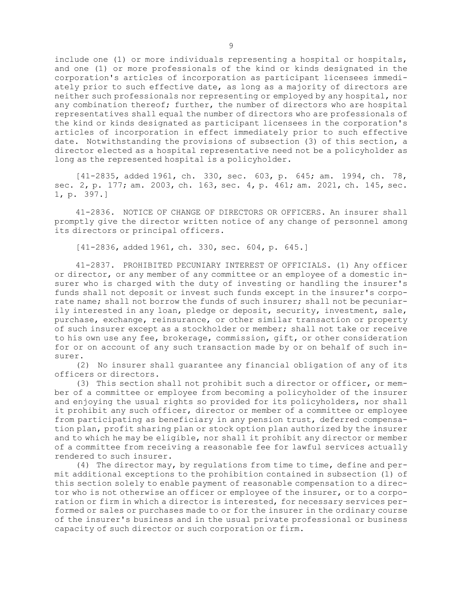include one (1) or more individuals representing a hospital or hospitals, and one (1) or more professionals of the kind or kinds designated in the corporation's articles of incorporation as participant licensees immediately prior to such effective date, as long as <sup>a</sup> majority of directors are neither such professionals nor representing or employed by any hospital, nor any combination thereof; further, the number of directors who are hospital representatives shall equal the number of directors who are professionals of the kind or kinds designated as participant licensees in the corporation's articles of incorporation in effect immediately prior to such effective date. Notwithstanding the provisions of subsection (3) of this section, <sup>a</sup> director elected as <sup>a</sup> hospital representative need not be <sup>a</sup> policyholder as long as the represented hospital is <sup>a</sup> policyholder.

[41-2835, added 1961, ch. 330, sec. 603, p. 645; am. 1994, ch. 78, sec. 2, p. 177; am. 2003, ch. 163, sec. 4, p. 461; am. 2021, ch. 145, sec. 1, p. 397.]

41-2836. NOTICE OF CHANGE OF DIRECTORS OR OFFICERS. An insurer shall promptly give the director written notice of any change of personnel among its directors or principal officers.

[41-2836, added 1961, ch. 330, sec. 604, p. 645.]

41-2837. PROHIBITED PECUNIARY INTEREST OF OFFICIALS. (1) Any officer or director, or any member of any committee or an employee of <sup>a</sup> domestic insurer who is charged with the duty of investing or handling the insurer's funds shall not deposit or invest such funds except in the insurer's corporate name; shall not borrow the funds of such insurer; shall not be pecuniarily interested in any loan, pledge or deposit, security, investment, sale, purchase, exchange, reinsurance, or other similar transaction or property of such insurer except as <sup>a</sup> stockholder or member; shall not take or receive to his own use any fee, brokerage, commission, gift, or other consideration for or on account of any such transaction made by or on behalf of such insurer.

(2) No insurer shall guarantee any financial obligation of any of its officers or directors.

(3) This section shall not prohibit such <sup>a</sup> director or officer, or member of <sup>a</sup> committee or employee from becoming <sup>a</sup> policyholder of the insurer and enjoying the usual rights so provided for its policyholders, nor shall it prohibit any such officer, director or member of <sup>a</sup> committee or employee from participating as beneficiary in any pension trust, deferred compensation plan, profit sharing plan or stock option plan authorized by the insurer and to which he may be eligible, nor shall it prohibit any director or member of <sup>a</sup> committee from receiving <sup>a</sup> reasonable fee for lawful services actually rendered to such insurer.

(4) The director may, by regulations from time to time, define and permit additional exceptions to the prohibition contained in subsection (1) of this section solely to enable payment of reasonable compensation to <sup>a</sup> director who is not otherwise an officer or employee of the insurer, or to <sup>a</sup> corporation or firm in which <sup>a</sup> director is interested, for necessary services performed or sales or purchases made to or for the insurer in the ordinary course of the insurer's business and in the usual private professional or business capacity of such director or such corporation or firm.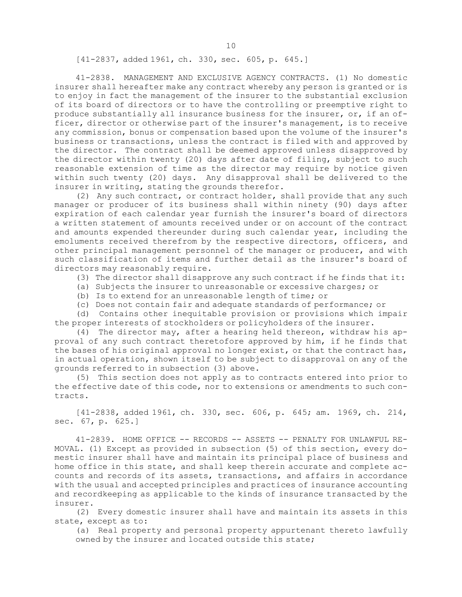[41-2837, added 1961, ch. 330, sec. 605, p. 645.]

41-2838. MANAGEMENT AND EXCLUSIVE AGENCY CONTRACTS. (1) No domestic insurer shall hereafter make any contract whereby any person is granted or is to enjoy in fact the management of the insurer to the substantial exclusion of its board of directors or to have the controlling or preemptive right to produce substantially all insurance business for the insurer, or, if an officer, director or otherwise part of the insurer's management, is to receive any commission, bonus or compensation based upon the volume of the insurer's business or transactions, unless the contract is filed with and approved by the director. The contract shall be deemed approved unless disapproved by the director within twenty (20) days after date of filing, subject to such reasonable extension of time as the director may require by notice given within such twenty (20) days. Any disapproval shall be delivered to the insurer in writing, stating the grounds therefor.

(2) Any such contract, or contract holder, shall provide that any such manager or producer of its business shall within ninety (90) days after expiration of each calendar year furnish the insurer's board of directors <sup>a</sup> written statement of amounts received under or on account of the contract and amounts expended thereunder during such calendar year, including the emoluments received therefrom by the respective directors, officers, and other principal management personnel of the manager or producer, and with such classification of items and further detail as the insurer's board of directors may reasonably require.

(3) The director shall disapprove any such contract if he finds that it:

- (a) Subjects the insurer to unreasonable or excessive charges; or
- (b) Is to extend for an unreasonable length of time; or
- (c) Does not contain fair and adequate standards of performance; or

(d) Contains other inequitable provision or provisions which impair the proper interests of stockholders or policyholders of the insurer.

(4) The director may, after <sup>a</sup> hearing held thereon, withdraw his approval of any such contract theretofore approved by him, if he finds that the bases of his original approval no longer exist, or that the contract has, in actual operation, shown itself to be subject to disapproval on any of the grounds referred to in subsection (3) above.

(5) This section does not apply as to contracts entered into prior to the effective date of this code, nor to extensions or amendments to such contracts.

[41-2838, added 1961, ch. 330, sec. 606, p. 645; am. 1969, ch. 214, sec. 67, p. 625.]

41-2839. HOME OFFICE -- RECORDS -- ASSETS -- PENALTY FOR UNLAWFUL RE-MOVAL. (1) Except as provided in subsection (5) of this section, every domestic insurer shall have and maintain its principal place of business and home office in this state, and shall keep therein accurate and complete accounts and records of its assets, transactions, and affairs in accordance with the usual and accepted principles and practices of insurance accounting and recordkeeping as applicable to the kinds of insurance transacted by the insurer.

(2) Every domestic insurer shall have and maintain its assets in this state, except as to:

(a) Real property and personal property appurtenant thereto lawfully owned by the insurer and located outside this state;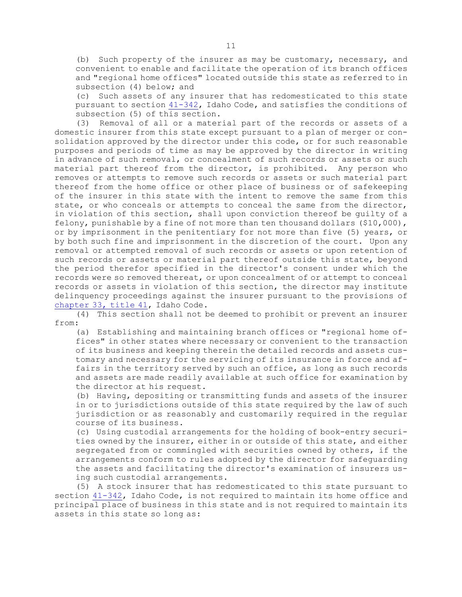(b) Such property of the insurer as may be customary, necessary, and convenient to enable and facilitate the operation of its branch offices and "regional home offices" located outside this state as referred to in subsection (4) below; and

(c) Such assets of any insurer that has redomesticated to this state pursuant to section [41-342](https://legislature.idaho.gov/statutesrules/idstat/Title41/T41CH3/SECT41-342), Idaho Code, and satisfies the conditions of subsection (5) of this section.

(3) Removal of all or <sup>a</sup> material part of the records or assets of <sup>a</sup> domestic insurer from this state except pursuant to <sup>a</sup> plan of merger or consolidation approved by the director under this code, or for such reasonable purposes and periods of time as may be approved by the director in writing in advance of such removal, or concealment of such records or assets or such material part thereof from the director, is prohibited. Any person who removes or attempts to remove such records or assets or such material part thereof from the home office or other place of business or of safekeeping of the insurer in this state with the intent to remove the same from this state, or who conceals or attempts to conceal the same from the director, in violation of this section, shall upon conviction thereof be guilty of <sup>a</sup> felony, punishable by <sup>a</sup> fine of not more than ten thousand dollars (\$10,000), or by imprisonment in the penitentiary for not more than five (5) years, or by both such fine and imprisonment in the discretion of the court. Upon any removal or attempted removal of such records or assets or upon retention of such records or assets or material part thereof outside this state, beyond the period therefor specified in the director's consent under which the records were so removed thereat, or upon concealment of or attempt to conceal records or assets in violation of this section, the director may institute delinquency proceedings against the insurer pursuant to the provisions of [chapter](https://legislature.idaho.gov/statutesrules/idstat/Title41/T41CH33) 33, title 41, Idaho Code.

(4) This section shall not be deemed to prohibit or prevent an insurer from:

(a) Establishing and maintaining branch offices or "regional home offices" in other states where necessary or convenient to the transaction of its business and keeping therein the detailed records and assets customary and necessary for the servicing of its insurance in force and affairs in the territory served by such an office, as long as such records and assets are made readily available at such office for examination by the director at his request.

(b) Having, depositing or transmitting funds and assets of the insurer in or to jurisdictions outside of this state required by the law of such jurisdiction or as reasonably and customarily required in the regular course of its business.

(c) Using custodial arrangements for the holding of book-entry securities owned by the insurer, either in or outside of this state, and either segregated from or commingled with securities owned by others, if the arrangements conform to rules adopted by the director for safeguarding the assets and facilitating the director's examination of insurers using such custodial arrangements.

(5) <sup>A</sup> stock insurer that has redomesticated to this state pursuant to section [41-342](https://legislature.idaho.gov/statutesrules/idstat/Title41/T41CH3/SECT41-342), Idaho Code, is not required to maintain its home office and principal place of business in this state and is not required to maintain its assets in this state so long as: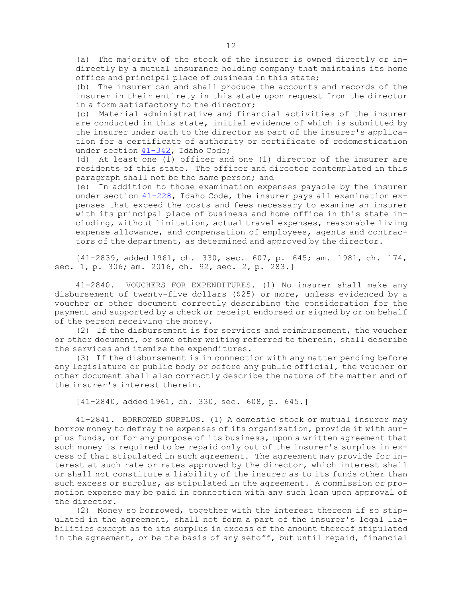(a) The majority of the stock of the insurer is owned directly or indirectly by <sup>a</sup> mutual insurance holding company that maintains its home office and principal place of business in this state;

(b) The insurer can and shall produce the accounts and records of the insurer in their entirety in this state upon request from the director in <sup>a</sup> form satisfactory to the director;

(c) Material administrative and financial activities of the insurer are conducted in this state, initial evidence of which is submitted by the insurer under oath to the director as part of the insurer's application for <sup>a</sup> certificate of authority or certificate of redomestication under section [41-342](https://legislature.idaho.gov/statutesrules/idstat/Title41/T41CH3/SECT41-342), Idaho Code;

(d) At least one (1) officer and one (1) director of the insurer are residents of this state. The officer and director contemplated in this paragraph shall not be the same person; and

(e) In addition to those examination expenses payable by the insurer under section [41-228](https://legislature.idaho.gov/statutesrules/idstat/Title41/T41CH2/SECT41-228), Idaho Code, the insurer pays all examination expenses that exceed the costs and fees necessary to examine an insurer with its principal place of business and home office in this state including, without limitation, actual travel expenses, reasonable living expense allowance, and compensation of employees, agents and contractors of the department, as determined and approved by the director.

[41-2839, added 1961, ch. 330, sec. 607, p. 645; am. 1981, ch. 174, sec. 1, p. 306; am. 2016, ch. 92, sec. 2, p. 283.]

41-2840. VOUCHERS FOR EXPENDITURES. (1) No insurer shall make any disbursement of twenty-five dollars (\$25) or more, unless evidenced by <sup>a</sup> voucher or other document correctly describing the consideration for the payment and supported by <sup>a</sup> check or receipt endorsed or signed by or on behalf of the person receiving the money.

(2) If the disbursement is for services and reimbursement, the voucher or other document, or some other writing referred to therein, shall describe the services and itemize the expenditures.

(3) If the disbursement is in connection with any matter pending before any legislature or public body or before any public official, the voucher or other document shall also correctly describe the nature of the matter and of the insurer's interest therein.

[41-2840, added 1961, ch. 330, sec. 608, p. 645.]

41-2841. BORROWED SURPLUS. (1) <sup>A</sup> domestic stock or mutual insurer may borrow money to defray the expenses of its organization, provide it with surplus funds, or for any purpose of its business, upon <sup>a</sup> written agreement that such money is required to be repaid only out of the insurer's surplus in excess of that stipulated in such agreement. The agreement may provide for interest at such rate or rates approved by the director, which interest shall or shall not constitute <sup>a</sup> liability of the insurer as to its funds other than such excess or surplus, as stipulated in the agreement. <sup>A</sup> commission or promotion expense may be paid in connection with any such loan upon approval of the director.

(2) Money so borrowed, together with the interest thereon if so stipulated in the agreement, shall not form <sup>a</sup> part of the insurer's legal liabilities except as to its surplus in excess of the amount thereof stipulated in the agreement, or be the basis of any setoff, but until repaid, financial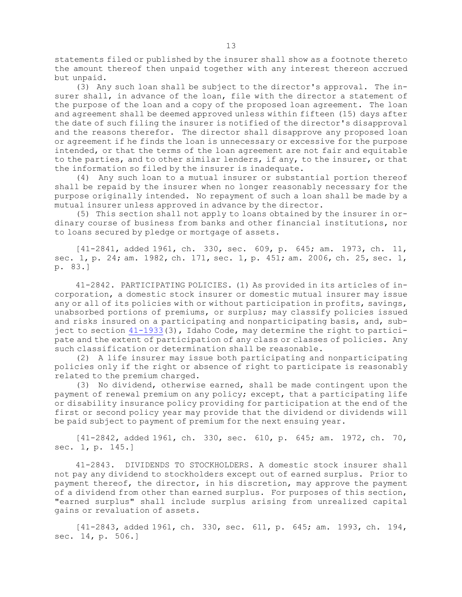statements filed or published by the insurer shall show as <sup>a</sup> footnote thereto the amount thereof then unpaid together with any interest thereon accrued but unpaid.

(3) Any such loan shall be subject to the director's approval. The insurer shall, in advance of the loan, file with the director <sup>a</sup> statement of the purpose of the loan and <sup>a</sup> copy of the proposed loan agreement. The loan and agreement shall be deemed approved unless within fifteen (15) days after the date of such filing the insurer is notified of the director's disapproval and the reasons therefor. The director shall disapprove any proposed loan or agreement if he finds the loan is unnecessary or excessive for the purpose intended, or that the terms of the loan agreement are not fair and equitable to the parties, and to other similar lenders, if any, to the insurer, or that the information so filed by the insurer is inadequate.

(4) Any such loan to <sup>a</sup> mutual insurer or substantial portion thereof shall be repaid by the insurer when no longer reasonably necessary for the purpose originally intended. No repayment of such <sup>a</sup> loan shall be made by <sup>a</sup> mutual insurer unless approved in advance by the director.

(5) This section shall not apply to loans obtained by the insurer in ordinary course of business from banks and other financial institutions, nor to loans secured by pledge or mortgage of assets.

[41-2841, added 1961, ch. 330, sec. 609, p. 645; am. 1973, ch. 11, sec. 1, p. 24; am. 1982, ch. 171, sec. 1, p. 451; am. 2006, ch. 25, sec. 1, p. 83.]

41-2842. PARTICIPATING POLICIES. (1) As provided in its articles of incorporation, <sup>a</sup> domestic stock insurer or domestic mutual insurer may issue any or all of its policies with or without participation in profits, savings, unabsorbed portions of premiums, or surplus; may classify policies issued and risks insured on <sup>a</sup> participating and nonparticipating basis, and, subject to section [41-1933](https://legislature.idaho.gov/statutesrules/idstat/Title41/T41CH19/SECT41-1933)(3), Idaho Code, may determine the right to participate and the extent of participation of any class or classes of policies. Any such classification or determination shall be reasonable.

(2) <sup>A</sup> life insurer may issue both participating and nonparticipating policies only if the right or absence of right to participate is reasonably related to the premium charged.

(3) No dividend, otherwise earned, shall be made contingent upon the payment of renewal premium on any policy; except, that <sup>a</sup> participating life or disability insurance policy providing for participation at the end of the first or second policy year may provide that the dividend or dividends will be paid subject to payment of premium for the next ensuing year.

[41-2842, added 1961, ch. 330, sec. 610, p. 645; am. 1972, ch. 70, sec. 1, p. 145.]

41-2843. DIVIDENDS TO STOCKHOLDERS. A domestic stock insurer shall not pay any dividend to stockholders except out of earned surplus. Prior to payment thereof, the director, in his discretion, may approve the payment of <sup>a</sup> dividend from other than earned surplus. For purposes of this section, "earned surplus" shall include surplus arising from unrealized capital gains or revaluation of assets.

[41-2843, added 1961, ch. 330, sec. 611, p. 645; am. 1993, ch. 194, sec. 14, p. 506.]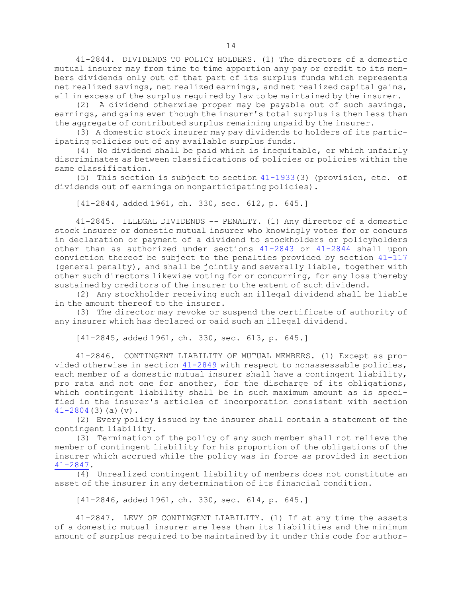41-2844. DIVIDENDS TO POLICY HOLDERS. (1) The directors of <sup>a</sup> domestic mutual insurer may from time to time apportion any pay or credit to its members dividends only out of that part of its surplus funds which represents net realized savings, net realized earnings, and net realized capital gains, all in excess of the surplus required by law to be maintained by the insurer.

(2) <sup>A</sup> dividend otherwise proper may be payable out of such savings, earnings, and gains even though the insurer's total surplus is then less than the aggregate of contributed surplus remaining unpaid by the insurer.

(3) <sup>A</sup> domestic stock insurer may pay dividends to holders of its participating policies out of any available surplus funds.

(4) No dividend shall be paid which is inequitable, or which unfairly discriminates as between classifications of policies or policies within the same classification.

(5) This section is subject to section [41-1933](https://legislature.idaho.gov/statutesrules/idstat/Title41/T41CH19/SECT41-1933)(3) (provision, etc. of dividends out of earnings on nonparticipating policies).

[41-2844, added 1961, ch. 330, sec. 612, p. 645.]

41-2845. ILLEGAL DIVIDENDS -- PENALTY. (1) Any director of <sup>a</sup> domestic stock insurer or domestic mutual insurer who knowingly votes for or concurs in declaration or payment of <sup>a</sup> dividend to stockholders or policyholders other than as authorized under sections [41-2843](https://legislature.idaho.gov/statutesrules/idstat/Title41/T41CH28/SECT41-2843) or [41-2844](https://legislature.idaho.gov/statutesrules/idstat/Title41/T41CH28/SECT41-2844) shall upon conviction thereof be subject to the penalties provided by section  $41-117$ (general penalty), and shall be jointly and severally liable, together with other such directors likewise voting for or concurring, for any loss thereby sustained by creditors of the insurer to the extent of such dividend.

(2) Any stockholder receiving such an illegal dividend shall be liable in the amount thereof to the insurer.

(3) The director may revoke or suspend the certificate of authority of any insurer which has declared or paid such an illegal dividend.

[41-2845, added 1961, ch. 330, sec. 613, p. 645.]

41-2846. CONTINGENT LIABILITY OF MUTUAL MEMBERS. (1) Except as provided otherwise in section [41-2849](https://legislature.idaho.gov/statutesrules/idstat/Title41/T41CH28/SECT41-2849) with respect to nonassessable policies, each member of a domestic mutual insurer shall have a contingent liability, pro rata and not one for another, for the discharge of its obligations, which contingent liability shall be in such maximum amount as is specified in the insurer's articles of incorporation consistent with section [41-2804](https://legislature.idaho.gov/statutesrules/idstat/Title41/T41CH28/SECT41-2804)(3)(a)(v).

(2) Every policy issued by the insurer shall contain <sup>a</sup> statement of the contingent liability.

(3) Termination of the policy of any such member shall not relieve the member of contingent liability for his proportion of the obligations of the insurer which accrued while the policy was in force as provided in section [41-2847](https://legislature.idaho.gov/statutesrules/idstat/Title41/T41CH28/SECT41-2847).

(4) Unrealized contingent liability of members does not constitute an asset of the insurer in any determination of its financial condition.

[41-2846, added 1961, ch. 330, sec. 614, p. 645.]

41-2847. LEVY OF CONTINGENT LIABILITY. (1) If at any time the assets of <sup>a</sup> domestic mutual insurer are less than its liabilities and the minimum amount of surplus required to be maintained by it under this code for author-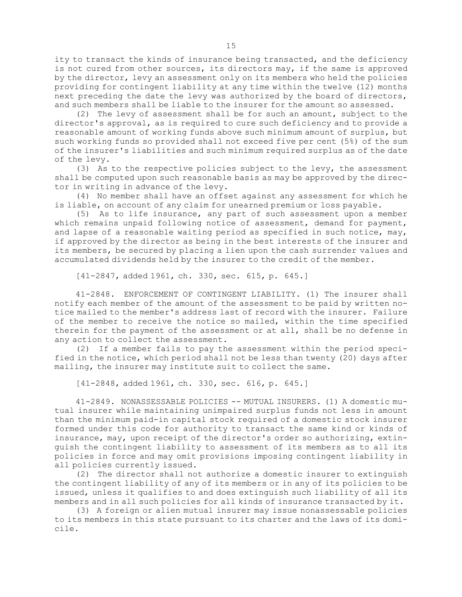ity to transact the kinds of insurance being transacted, and the deficiency is not cured from other sources, its directors may, if the same is approved by the director, levy an assessment only on its members who held the policies providing for contingent liability at any time within the twelve (12) months next preceding the date the levy was authorized by the board of directors, and such members shall be liable to the insurer for the amount so assessed.

(2) The levy of assessment shall be for such an amount, subject to the director's approval, as is required to cure such deficiency and to provide <sup>a</sup> reasonable amount of working funds above such minimum amount of surplus, but such working funds so provided shall not exceed five per cent (5%) of the sum of the insurer's liabilities and such minimum required surplus as of the date of the levy.

(3) As to the respective policies subject to the levy, the assessment shall be computed upon such reasonable basis as may be approved by the director in writing in advance of the levy.

(4) No member shall have an offset against any assessment for which he is liable, on account of any claim for unearned premium or loss payable.

(5) As to life insurance, any part of such assessment upon <sup>a</sup> member which remains unpaid following notice of assessment, demand for payment, and lapse of a reasonable waiting period as specified in such notice,  $may$ , if approved by the director as being in the best interests of the insurer and its members, be secured by placing <sup>a</sup> lien upon the cash surrender values and accumulated dividends held by the insurer to the credit of the member.

[41-2847, added 1961, ch. 330, sec. 615, p. 645.]

41-2848. ENFORCEMENT OF CONTINGENT LIABILITY. (1) The insurer shall notify each member of the amount of the assessment to be paid by written notice mailed to the member's address last of record with the insurer. Failure of the member to receive the notice so mailed, within the time specified therein for the payment of the assessment or at all, shall be no defense in any action to collect the assessment.

(2) If <sup>a</sup> member fails to pay the assessment within the period specified in the notice, which period shall not be less than twenty (20) days after mailing, the insurer may institute suit to collect the same.

[41-2848, added 1961, ch. 330, sec. 616, p. 645.]

41-2849. NONASSESSABLE POLICIES -- MUTUAL INSURERS. (1) A domestic mutual insurer while maintaining unimpaired surplus funds not less in amount than the minimum paid-in capital stock required of <sup>a</sup> domestic stock insurer formed under this code for authority to transact the same kind or kinds of insurance, may, upon receipt of the director's order so authorizing, extinguish the contingent liability to assessment of its members as to all its policies in force and may omit provisions imposing contingent liability in all policies currently issued.

(2) The director shall not authorize <sup>a</sup> domestic insurer to extinguish the contingent liability of any of its members or in any of its policies to be issued, unless it qualifies to and does extinguish such liability of all its members and in all such policies for all kinds of insurance transacted by it.

(3) <sup>A</sup> foreign or alien mutual insurer may issue nonassessable policies to its members in this state pursuant to its charter and the laws of its domicile.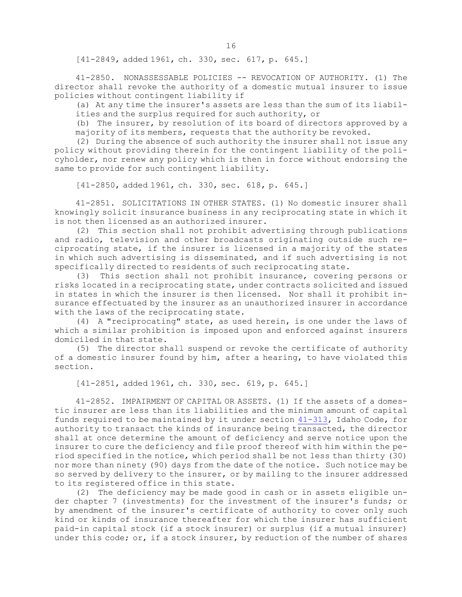[41-2849, added 1961, ch. 330, sec. 617, p. 645.]

41-2850. NONASSESSABLE POLICIES -- REVOCATION OF AUTHORITY. (1) The director shall revoke the authority of <sup>a</sup> domestic mutual insurer to issue policies without contingent liability if

(a) At any time the insurer's assets are less than the sum of its liabilities and the surplus required for such authority, or

(b) The insurer, by resolution of its board of directors approved by <sup>a</sup> majority of its members, requests that the authority be revoked.

(2) During the absence of such authority the insurer shall not issue any policy without providing therein for the contingent liability of the policyholder, nor renew any policy which is then in force without endorsing the same to provide for such contingent liability.

[41-2850, added 1961, ch. 330, sec. 618, p. 645.]

41-2851. SOLICITATIONS IN OTHER STATES. (1) No domestic insurer shall knowingly solicit insurance business in any reciprocating state in which it is not then licensed as an authorized insurer.

(2) This section shall not prohibit advertising through publications and radio, television and other broadcasts originating outside such reciprocating state, if the insurer is licensed in <sup>a</sup> majority of the states in which such advertising is disseminated, and if such advertising is not specifically directed to residents of such reciprocating state.

(3) This section shall not prohibit insurance, covering persons or risks located in <sup>a</sup> reciprocating state, under contracts solicited and issued in states in which the insurer is then licensed. Nor shall it prohibit insurance effectuated by the insurer as an unauthorized insurer in accordance with the laws of the reciprocating state.

(4) <sup>A</sup> "reciprocating" state, as used herein, is one under the laws of which <sup>a</sup> similar prohibition is imposed upon and enforced against insurers domiciled in that state.

(5) The director shall suspend or revoke the certificate of authority of <sup>a</sup> domestic insurer found by him, after <sup>a</sup> hearing, to have violated this section.

[41-2851, added 1961, ch. 330, sec. 619, p. 645.]

41-2852. IMPAIRMENT OF CAPITAL OR ASSETS. (1) If the assets of <sup>a</sup> domestic insurer are less than its liabilities and the minimum amount of capital funds required to be maintained by it under section [41-313](https://legislature.idaho.gov/statutesrules/idstat/Title41/T41CH3/SECT41-313), Idaho Code, for authority to transact the kinds of insurance being transacted, the director shall at once determine the amount of deficiency and serve notice upon the insurer to cure the deficiency and file proof thereof with him within the period specified in the notice, which period shall be not less than thirty (30) nor more than ninety (90) days from the date of the notice. Such notice may be so served by delivery to the insurer, or by mailing to the insurer addressed to its registered office in this state.

(2) The deficiency may be made good in cash or in assets eligible under chapter 7 (investments) for the investment of the insurer's funds; or by amendment of the insurer's certificate of authority to cover only such kind or kinds of insurance thereafter for which the insurer has sufficient paid-in capital stock (if <sup>a</sup> stock insurer) or surplus (if <sup>a</sup> mutual insurer) under this code; or, if a stock insurer, by reduction of the number of shares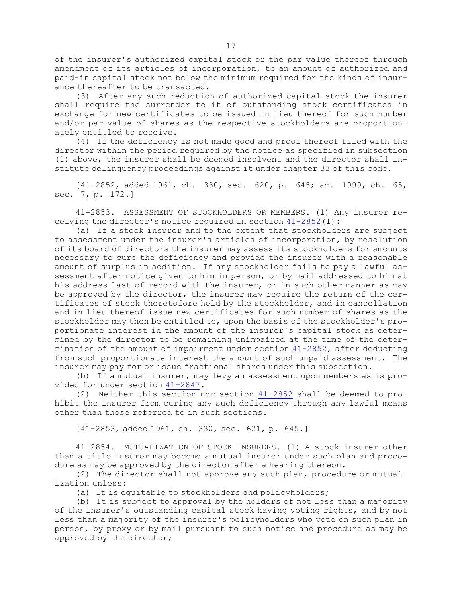of the insurer's authorized capital stock or the par value thereof through amendment of its articles of incorporation, to an amount of authorized and paid-in capital stock not below the minimum required for the kinds of insurance thereafter to be transacted.

(3) After any such reduction of authorized capital stock the insurer shall require the surrender to it of outstanding stock certificates in exchange for new certificates to be issued in lieu thereof for such number and/or par value of shares as the respective stockholders are proportionately entitled to receive.

(4) If the deficiency is not made good and proof thereof filed with the director within the period required by the notice as specified in subsection (1) above, the insurer shall be deemed insolvent and the director shall institute delinquency proceedings against it under chapter 33 of this code.

[41-2852, added 1961, ch. 330, sec. 620, p. 645; am. 1999, ch. 65, sec. 7, p. 172.]

41-2853. ASSESSMENT OF STOCKHOLDERS OR MEMBERS. (1) Any insurer receiving the director's notice required in section [41-2852](https://legislature.idaho.gov/statutesrules/idstat/Title41/T41CH28/SECT41-2852)(1):

(a) If <sup>a</sup> stock insurer and to the extent that stockholders are subject to assessment under the insurer's articles of incorporation, by resolution of its board of directors the insurer may assess its stockholders for amounts necessary to cure the deficiency and provide the insurer with <sup>a</sup> reasonable amount of surplus in addition. If any stockholder fails to pay <sup>a</sup> lawful assessment after notice given to him in person, or by mail addressed to him at his address last of record with the insurer, or in such other manner as may be approved by the director, the insurer may require the return of the certificates of stock theretofore held by the stockholder, and in cancellation and in lieu thereof issue new certificates for such number of shares as the stockholder may then be entitled to, upon the basis of the stockholder's proportionate interest in the amount of the insurer's capital stock as determined by the director to be remaining unimpaired at the time of the determination of the amount of impairment under section [41-2852](https://legislature.idaho.gov/statutesrules/idstat/Title41/T41CH28/SECT41-2852), after deducting from such proportionate interest the amount of such unpaid assessment. The insurer may pay for or issue fractional shares under this subsection.

(b) If <sup>a</sup> mutual insurer, may levy an assessment upon members as is provided for under section [41-2847](https://legislature.idaho.gov/statutesrules/idstat/Title41/T41CH28/SECT41-2847).

(2) Neither this section nor section [41-2852](https://legislature.idaho.gov/statutesrules/idstat/Title41/T41CH28/SECT41-2852) shall be deemed to prohibit the insurer from curing any such deficiency through any lawful means other than those referred to in such sections.

[41-2853, added 1961, ch. 330, sec. 621, p. 645.]

41-2854. MUTUALIZATION OF STOCK INSURERS. (1) A stock insurer other than <sup>a</sup> title insurer may become <sup>a</sup> mutual insurer under such plan and procedure as may be approved by the director after <sup>a</sup> hearing thereon.

(2) The director shall not approve any such plan, procedure or mutualization unless:

(a) It is equitable to stockholders and policyholders;

(b) It is subject to approval by the holders of not less than <sup>a</sup> majority of the insurer's outstanding capital stock having voting rights, and by not less than <sup>a</sup> majority of the insurer's policyholders who vote on such plan in person, by proxy or by mail pursuant to such notice and procedure as may be approved by the director;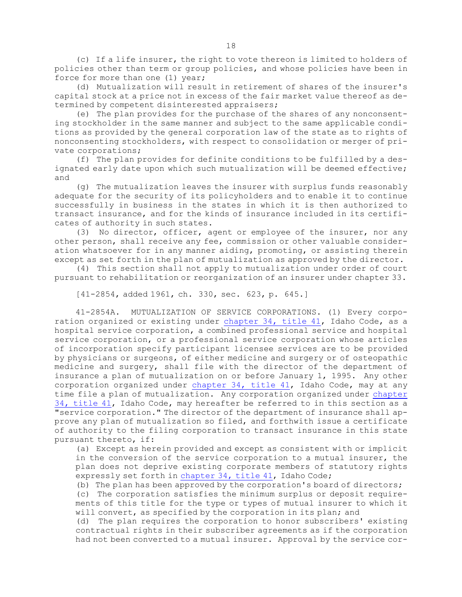(c) If <sup>a</sup> life insurer, the right to vote thereon is limited to holders of policies other than term or group policies, and whose policies have been in force for more than one (1) year;

(d) Mutualization will result in retirement of shares of the insurer's capital stock at <sup>a</sup> price not in excess of the fair market value thereof as determined by competent disinterested appraisers;

(e) The plan provides for the purchase of the shares of any nonconsenting stockholder in the same manner and subject to the same applicable conditions as provided by the general corporation law of the state as to rights of nonconsenting stockholders, with respect to consolidation or merger of private corporations;

(f) The plan provides for definite conditions to be fulfilled by <sup>a</sup> designated early date upon which such mutualization will be deemed effective; and

(g) The mutualization leaves the insurer with surplus funds reasonably adequate for the security of its policyholders and to enable it to continue successfully in business in the states in which it is then authorized to transact insurance, and for the kinds of insurance included in its certificates of authority in such states.

(3) No director, officer, agent or employee of the insurer, nor any other person, shall receive any fee, commission or other valuable consideration whatsoever for in any manner aiding, promoting, or assisting therein except as set forth in the plan of mutualization as approved by the director.

(4) This section shall not apply to mutualization under order of court pursuant to rehabilitation or reorganization of an insurer under chapter 33.

[41-2854, added 1961, ch. 330, sec. 623, p. 645.]

41-2854A. MUTUALIZATION OF SERVICE CORPORATIONS. (1) Every corporation organized or existing under [chapter](https://legislature.idaho.gov/statutesrules/idstat/Title41/T41CH34) 34, title 41, Idaho Code, as <sup>a</sup> hospital service corporation, <sup>a</sup> combined professional service and hospital service corporation, or a professional service corporation whose articles of incorporation specify participant licensee services are to be provided by physicians or surgeons, of either medicine and surgery or of osteopathic medicine and surgery, shall file with the director of the department of insurance <sup>a</sup> plan of mutualization on or before January 1, 1995. Any other corporation organized under [chapter](https://legislature.idaho.gov/statutesrules/idstat/Title41/T41CH34) 34, title 41, Idaho Code, may at any time file <sup>a</sup> plan of mutualization. Any corporation organized under [chapter](https://legislature.idaho.gov/statutesrules/idstat/Title41/T41CH34) 34, [title](https://legislature.idaho.gov/statutesrules/idstat/Title41/T41CH34) 41, Idaho Code, may hereafter be referred to in this section as <sup>a</sup> "service corporation." The director of the department of insurance shall approve any plan of mutualization so filed, and forthwith issue <sup>a</sup> certificate of authority to the filing corporation to transact insurance in this state pursuant thereto, if:

(a) Except as herein provided and except as consistent with or implicit in the conversion of the service corporation to <sup>a</sup> mutual insurer, the plan does not deprive existing corporate members of statutory rights expressly set forth in [chapter](https://legislature.idaho.gov/statutesrules/idstat/Title41/T41CH34) 34, title 41, Idaho Code;

(b) The plan has been approved by the corporation's board of directors;

(c) The corporation satisfies the minimum surplus or deposit requirements of this title for the type or types of mutual insurer to which it will convert, as specified by the corporation in its plan; and

(d) The plan requires the corporation to honor subscribers' existing contractual rights in their subscriber agreements as if the corporation had not been converted to <sup>a</sup> mutual insurer. Approval by the service cor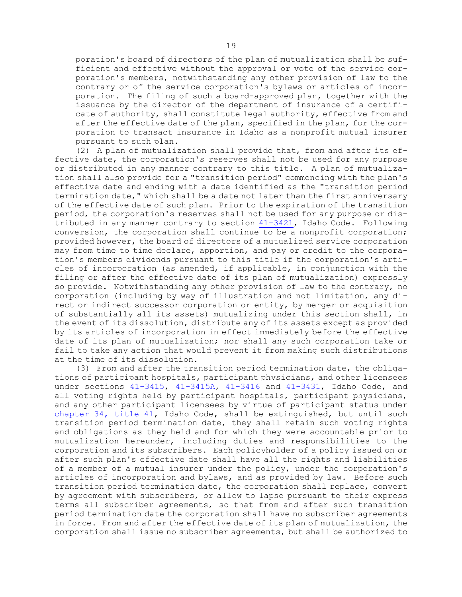poration's board of directors of the plan of mutualization shall be sufficient and effective without the approval or vote of the service corporation's members, notwithstanding any other provision of law to the contrary or of the service corporation's bylaws or articles of incorporation. The filing of such <sup>a</sup> board-approved plan, together with the issuance by the director of the department of insurance of <sup>a</sup> certificate of authority, shall constitute legal authority, effective from and after the effective date of the plan, specified in the plan, for the corporation to transact insurance in Idaho as <sup>a</sup> nonprofit mutual insurer pursuant to such plan.

(2) <sup>A</sup> plan of mutualization shall provide that, from and after its effective date, the corporation's reserves shall not be used for any purpose or distributed in any manner contrary to this title. <sup>A</sup> plan of mutualization shall also provide for <sup>a</sup> "transition period" commencing with the plan's effective date and ending with <sup>a</sup> date identified as the "transition period termination date," which shall be <sup>a</sup> date not later than the first anniversary of the effective date of such plan. Prior to the expiration of the transition period, the corporation's reserves shall not be used for any purpose or dis-tributed in any manner contrary to section [41-3421](https://legislature.idaho.gov/statutesrules/idstat/Title41/T41CH34/SECT41-3421), Idaho Code. Following conversion, the corporation shall continue to be <sup>a</sup> nonprofit corporation; provided however, the board of directors of <sup>a</sup> mutualized service corporation may from time to time declare, apportion, and pay or credit to the corporation's members dividends pursuant to this title if the corporation's articles of incorporation (as amended, if applicable, in conjunction with the filing or after the effective date of its plan of mutualization) expressly so provide. Notwithstanding any other provision of law to the contrary, no corporation (including by way of illustration and not limitation, any direct or indirect successor corporation or entity, by merger or acquisition of substantially all its assets) mutualizing under this section shall, in the event of its dissolution, distribute any of its assets except as provided by its articles of incorporation in effect immediately before the effective date of its plan of mutualization; nor shall any such corporation take or fail to take any action that would prevent it from making such distributions at the time of its dissolution.

(3) From and after the transition period termination date, the obligations of participant hospitals, participant physicians, and other licensees under sections [41-3415](https://legislature.idaho.gov/statutesrules/idstat/Title41/T41CH34/SECT41-3415), [41-3415A](https://legislature.idaho.gov/statutesrules/idstat/Title41/T41CH34/SECT41-3415A), [41-3416](https://legislature.idaho.gov/statutesrules/idstat/Title41/T41CH34/SECT41-3416) and [41-3431](https://legislature.idaho.gov/statutesrules/idstat/Title41/T41CH34/SECT41-3431), Idaho Code, and all voting rights held by participant hospitals, participant physicians, and any other participant licensees by virtue of participant status under [chapter](https://legislature.idaho.gov/statutesrules/idstat/Title41/T41CH34) 34, title 41, Idaho Code, shall be extinguished, but until such transition period termination date, they shall retain such voting rights and obligations as they held and for which they were accountable prior to mutualization hereunder, including duties and responsibilities to the corporation and its subscribers. Each policyholder of <sup>a</sup> policy issued on or after such plan's effective date shall have all the rights and liabilities of <sup>a</sup> member of <sup>a</sup> mutual insurer under the policy, under the corporation's articles of incorporation and bylaws, and as provided by law. Before such transition period termination date, the corporation shall replace, convert by agreement with subscribers, or allow to lapse pursuant to their express terms all subscriber agreements, so that from and after such transition period termination date the corporation shall have no subscriber agreements in force. From and after the effective date of its plan of mutualization, the corporation shall issue no subscriber agreements, but shall be authorized to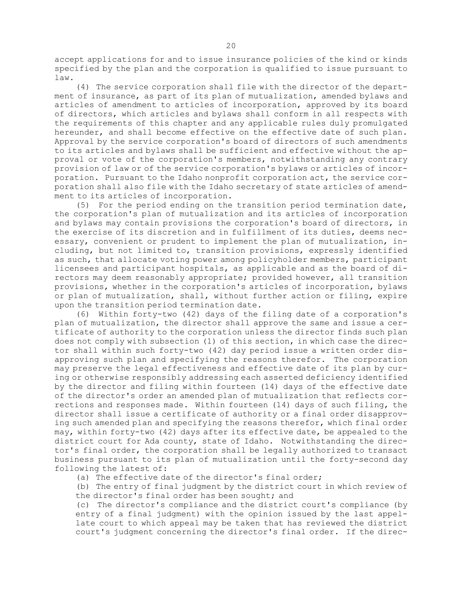accept applications for and to issue insurance policies of the kind or kinds specified by the plan and the corporation is qualified to issue pursuant to law.

(4) The service corporation shall file with the director of the department of insurance, as part of its plan of mutualization, amended bylaws and articles of amendment to articles of incorporation, approved by its board of directors, which articles and bylaws shall conform in all respects with the requirements of this chapter and any applicable rules duly promulgated hereunder, and shall become effective on the effective date of such plan. Approval by the service corporation's board of directors of such amendments to its articles and bylaws shall be sufficient and effective without the approval or vote of the corporation's members, notwithstanding any contrary provision of law or of the service corporation's bylaws or articles of incorporation. Pursuant to the Idaho nonprofit corporation act, the service corporation shall also file with the Idaho secretary of state articles of amendment to its articles of incorporation.

(5) For the period ending on the transition period termination date, the corporation's plan of mutualization and its articles of incorporation and bylaws may contain provisions the corporation's board of directors, in the exercise of its discretion and in fulfillment of its duties, deems necessary, convenient or prudent to implement the plan of mutualization, including, but not limited to, transition provisions, expressly identified as such, that allocate voting power among policyholder members, participant licensees and participant hospitals, as applicable and as the board of directors may deem reasonably appropriate; provided however, all transition provisions, whether in the corporation's articles of incorporation, bylaws or plan of mutualization, shall, without further action or filing, expire upon the transition period termination date.

(6) Within forty-two (42) days of the filing date of <sup>a</sup> corporation's plan of mutualization, the director shall approve the same and issue <sup>a</sup> certificate of authority to the corporation unless the director finds such plan does not comply with subsection (1) of this section, in which case the director shall within such forty-two (42) day period issue <sup>a</sup> written order disapproving such plan and specifying the reasons therefor. The corporation may preserve the legal effectiveness and effective date of its plan by curing or otherwise responsibly addressing each asserted deficiency identified by the director and filing within fourteen (14) days of the effective date of the director's order an amended plan of mutualization that reflects corrections and responses made. Within fourteen (14) days of such filing, the director shall issue <sup>a</sup> certificate of authority or <sup>a</sup> final order disapproving such amended plan and specifying the reasons therefor, which final order may, within forty-two (42) days after its effective date, be appealed to the district court for Ada county, state of Idaho. Notwithstanding the director's final order, the corporation shall be legally authorized to transact business pursuant to its plan of mutualization until the forty-second day following the latest of:

(a) The effective date of the director's final order;

(b) The entry of final judgment by the district court in which review of the director's final order has been sought; and

(c) The director's compliance and the district court's compliance (by entry of <sup>a</sup> final judgment) with the opinion issued by the last appellate court to which appeal may be taken that has reviewed the district court's judgment concerning the director's final order. If the direc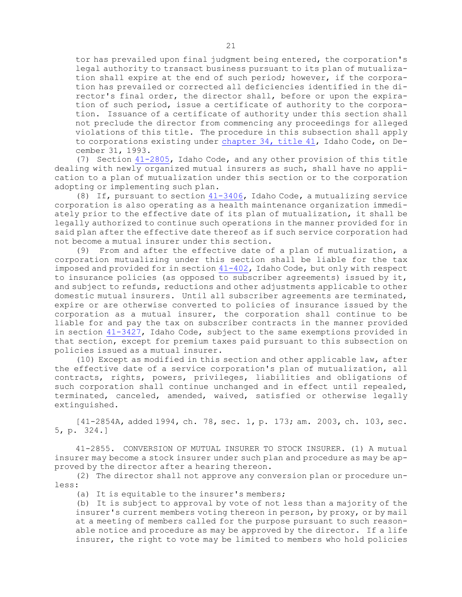tor has prevailed upon final judgment being entered, the corporation's legal authority to transact business pursuant to its plan of mutualization shall expire at the end of such period; however, if the corporation has prevailed or corrected all deficiencies identified in the director's final order, the director shall, before or upon the expiration of such period, issue <sup>a</sup> certificate of authority to the corporation. Issuance of <sup>a</sup> certificate of authority under this section shall not preclude the director from commencing any proceedings for alleged violations of this title. The procedure in this subsection shall apply to corporations existing under [chapter](https://legislature.idaho.gov/statutesrules/idstat/Title41/T41CH34) 34, title 41, Idaho Code, on December 31, 1993.

(7) Section [41-2805](https://legislature.idaho.gov/statutesrules/idstat/Title41/T41CH28/SECT41-2805), Idaho Code, and any other provision of this title dealing with newly organized mutual insurers as such, shall have no application to <sup>a</sup> plan of mutualization under this section or to the corporation adopting or implementing such plan.

(8) If, pursuant to section [41-3406](https://legislature.idaho.gov/statutesrules/idstat/Title41/T41CH34/SECT41-3406), Idaho Code, <sup>a</sup> mutualizing service corporation is also operating as <sup>a</sup> health maintenance organization immediately prior to the effective date of its plan of mutualization, it shall be legally authorized to continue such operations in the manner provided for in said plan after the effective date thereof as if such service corporation had not become <sup>a</sup> mutual insurer under this section.

(9) From and after the effective date of <sup>a</sup> plan of mutualization, <sup>a</sup> corporation mutualizing under this section shall be liable for the tax imposed and provided for in section [41-402](https://legislature.idaho.gov/statutesrules/idstat/Title41/T41CH4/SECT41-402), Idaho Code, but only with respect to insurance policies (as opposed to subscriber agreements) issued by it, and subject to refunds, reductions and other adjustments applicable to other domestic mutual insurers. Until all subscriber agreements are terminated, expire or are otherwise converted to policies of insurance issued by the corporation as <sup>a</sup> mutual insurer, the corporation shall continue to be liable for and pay the tax on subscriber contracts in the manner provided in section [41-3427](https://legislature.idaho.gov/statutesrules/idstat/Title41/T41CH34/SECT41-3427), Idaho Code, subject to the same exemptions provided in that section, except for premium taxes paid pursuant to this subsection on policies issued as <sup>a</sup> mutual insurer.

(10) Except as modified in this section and other applicable law, after the effective date of <sup>a</sup> service corporation's plan of mutualization, all contracts, rights, powers, privileges, liabilities and obligations of such corporation shall continue unchanged and in effect until repealed, terminated, canceled, amended, waived, satisfied or otherwise legally extinguished.

[41-2854A, added 1994, ch. 78, sec. 1, p. 173; am. 2003, ch. 103, sec. 5, p. 324.]

41-2855. CONVERSION OF MUTUAL INSURER TO STOCK INSURER. (1) A mutual insurer may become <sup>a</sup> stock insurer under such plan and procedure as may be approved by the director after <sup>a</sup> hearing thereon.

(2) The director shall not approve any conversion plan or procedure unless:

(a) It is equitable to the insurer's members;

(b) It is subject to approval by vote of not less than <sup>a</sup> majority of the insurer's current members voting thereon in person, by proxy, or by mail at <sup>a</sup> meeting of members called for the purpose pursuant to such reasonable notice and procedure as may be approved by the director. If <sup>a</sup> life insurer, the right to vote may be limited to members who hold policies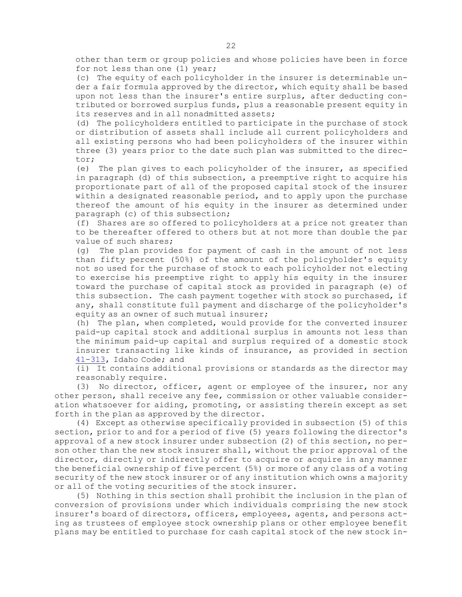other than term or group policies and whose policies have been in force for not less than one (1) year;

(c) The equity of each policyholder in the insurer is determinable under <sup>a</sup> fair formula approved by the director, which equity shall be based upon not less than the insurer's entire surplus, after deducting contributed or borrowed surplus funds, plus <sup>a</sup> reasonable present equity in its reserves and in all nonadmitted assets;

(d) The policyholders entitled to participate in the purchase of stock or distribution of assets shall include all current policyholders and all existing persons who had been policyholders of the insurer within three (3) years prior to the date such plan was submitted to the director;

(e) The plan gives to each policyholder of the insurer, as specified in paragraph (d) of this subsection, <sup>a</sup> preemptive right to acquire his proportionate part of all of the proposed capital stock of the insurer within <sup>a</sup> designated reasonable period, and to apply upon the purchase thereof the amount of his equity in the insurer as determined under paragraph (c) of this subsection;

(f) Shares are so offered to policyholders at <sup>a</sup> price not greater than to be thereafter offered to others but at not more than double the par value of such shares;

(g) The plan provides for payment of cash in the amount of not less than fifty percent (50%) of the amount of the policyholder's equity not so used for the purchase of stock to each policyholder not electing to exercise his preemptive right to apply his equity in the insurer toward the purchase of capital stock as provided in paragraph (e) of this subsection. The cash payment together with stock so purchased, if any, shall constitute full payment and discharge of the policyholder's equity as an owner of such mutual insurer;

(h) The plan, when completed, would provide for the converted insurer paid-up capital stock and additional surplus in amounts not less than the minimum paid-up capital and surplus required of <sup>a</sup> domestic stock insurer transacting like kinds of insurance, as provided in section [41-313](https://legislature.idaho.gov/statutesrules/idstat/Title41/T41CH3/SECT41-313), Idaho Code; and

(i) It contains additional provisions or standards as the director may reasonably require.

(3) No director, officer, agent or employee of the insurer, nor any other person, shall receive any fee, commission or other valuable consideration whatsoever for aiding, promoting, or assisting therein except as set forth in the plan as approved by the director.

(4) Except as otherwise specifically provided in subsection (5) of this section, prior to and for <sup>a</sup> period of five (5) years following the director's approval of <sup>a</sup> new stock insurer under subsection (2) of this section, no person other than the new stock insurer shall, without the prior approval of the director, directly or indirectly offer to acquire or acquire in any manner the beneficial ownership of five percent (5%) or more of any class of <sup>a</sup> voting security of the new stock insurer or of any institution which owns <sup>a</sup> majority or all of the voting securities of the stock insurer.

(5) Nothing in this section shall prohibit the inclusion in the plan of conversion of provisions under which individuals comprising the new stock insurer's board of directors, officers, employees, agents, and persons acting as trustees of employee stock ownership plans or other employee benefit plans may be entitled to purchase for cash capital stock of the new stock in-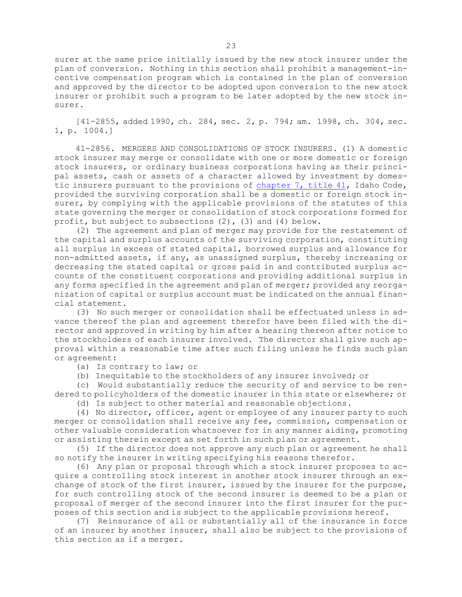surer at the same price initially issued by the new stock insurer under the plan of conversion. Nothing in this section shall prohibit <sup>a</sup> management-incentive compensation program which is contained in the plan of conversion and approved by the director to be adopted upon conversion to the new stock insurer or prohibit such <sup>a</sup> program to be later adopted by the new stock insurer.

[41-2855, added 1990, ch. 284, sec. 2, p. 794; am. 1998, ch. 304, sec. 1, p. 1004.]

41-2856. MERGERS AND CONSOLIDATIONS OF STOCK INSURERS. (1) A domestic stock insurer may merge or consolidate with one or more domestic or foreign stock insurers, or ordinary business corporations having as their principal assets, cash or assets of <sup>a</sup> character allowed by investment by domestic insurers pursuant to the provisions of [chapter](https://legislature.idaho.gov/statutesrules/idstat/Title41/T41CH7) 7, title 41, Idaho Code, provided the surviving corporation shall be <sup>a</sup> domestic or foreign stock insurer, by complying with the applicable provisions of the statutes of this state governing the merger or consolidation of stock corporations formed for profit, but subject to subsections (2), (3) and (4) below.

(2) The agreement and plan of merger may provide for the restatement of the capital and surplus accounts of the surviving corporation, constituting all surplus in excess of stated capital, borrowed surplus and allowance for non-admitted assets, if any, as unassigned surplus, thereby increasing or decreasing the stated capital or gross paid in and contributed surplus accounts of the constituent corporations and providing additional surplus in any forms specified in the agreement and plan of merger; provided any reorganization of capital or surplus account must be indicated on the annual financial statement.

(3) No such merger or consolidation shall be effectuated unless in advance thereof the plan and agreement therefor have been filed with the director and approved in writing by him after <sup>a</sup> hearing thereon after notice to the stockholders of each insurer involved. The director shall give such approval within <sup>a</sup> reasonable time after such filing unless he finds such plan or agreement:

(a) Is contrary to law; or

(b) Inequitable to the stockholders of any insurer involved; or

(c) Would substantially reduce the security of and service to be rendered to policyholders of the domestic insurer in this state or elsewhere; or

(d) Is subject to other material and reasonable objections.

(4) No director, officer, agent or employee of any insurer party to such merger or consolidation shall receive any fee, commission, compensation or other valuable consideration whatsoever for in any manner aiding, promoting or assisting therein except as set forth in such plan or agreement.

(5) If the director does not approve any such plan or agreement he shall so notify the insurer in writing specifying his reasons therefor.

(6) Any plan or proposal through which <sup>a</sup> stock insurer proposes to acquire <sup>a</sup> controlling stock interest in another stock insurer through an exchange of stock of the first insurer, issued by the insurer for the purpose, for such controlling stock of the second insurer is deemed to be <sup>a</sup> plan or proposal of merger of the second insurer into the first insurer for the purposes of this section and is subject to the applicable provisions hereof.

(7) Reinsurance of all or substantially all of the insurance in force of an insurer by another insurer, shall also be subject to the provisions of this section as if <sup>a</sup> merger.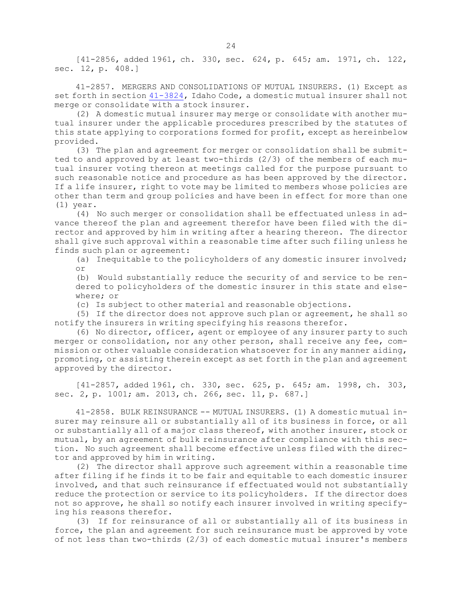[41-2856, added 1961, ch. 330, sec. 624, p. 645; am. 1971, ch. 122, sec. 12, p. 408.]

41-2857. MERGERS AND CONSOLIDATIONS OF MUTUAL INSURERS. (1) Except as set forth in section [41-3824](https://legislature.idaho.gov/statutesrules/idstat/Title41/T41CH38/SECT41-3824), Idaho Code, <sup>a</sup> domestic mutual insurer shall not merge or consolidate with <sup>a</sup> stock insurer.

(2) <sup>A</sup> domestic mutual insurer may merge or consolidate with another mutual insurer under the applicable procedures prescribed by the statutes of this state applying to corporations formed for profit, except as hereinbelow provided.

(3) The plan and agreement for merger or consolidation shall be submitted to and approved by at least two-thirds (2/3) of the members of each mutual insurer voting thereon at meetings called for the purpose pursuant to such reasonable notice and procedure as has been approved by the director. If <sup>a</sup> life insurer, right to vote may be limited to members whose policies are other than term and group policies and have been in effect for more than one (1) year.

(4) No such merger or consolidation shall be effectuated unless in advance thereof the plan and agreement therefor have been filed with the director and approved by him in writing after <sup>a</sup> hearing thereon. The director shall give such approval within <sup>a</sup> reasonable time after such filing unless he finds such plan or agreement:

(a) Inequitable to the policyholders of any domestic insurer involved; or

(b) Would substantially reduce the security of and service to be rendered to policyholders of the domestic insurer in this state and elsewhere; or

(c) Is subject to other material and reasonable objections.

(5) If the director does not approve such plan or agreement, he shall so notify the insurers in writing specifying his reasons therefor.

(6) No director, officer, agent or employee of any insurer party to such merger or consolidation, nor any other person, shall receive any fee, commission or other valuable consideration whatsoever for in any manner aiding, promoting, or assisting therein except as set forth in the plan and agreement approved by the director.

[41-2857, added 1961, ch. 330, sec. 625, p. 645; am. 1998, ch. 303, sec. 2, p. 1001; am. 2013, ch. 266, sec. 11, p. 687.]

41-2858. BULK REINSURANCE -- MUTUAL INSURERS. (1) A domestic mutual insurer may reinsure all or substantially all of its business in force, or all or substantially all of <sup>a</sup> major class thereof, with another insurer, stock or mutual, by an agreement of bulk reinsurance after compliance with this section. No such agreement shall become effective unless filed with the director and approved by him in writing.

(2) The director shall approve such agreement within <sup>a</sup> reasonable time after filing if he finds it to be fair and equitable to each domestic insurer involved, and that such reinsurance if effectuated would not substantially reduce the protection or service to its policyholders. If the director does not so approve, he shall so notify each insurer involved in writing specifying his reasons therefor.

(3) If for reinsurance of all or substantially all of its business in force, the plan and agreement for such reinsurance must be approved by vote of not less than two-thirds (2/3) of each domestic mutual insurer's members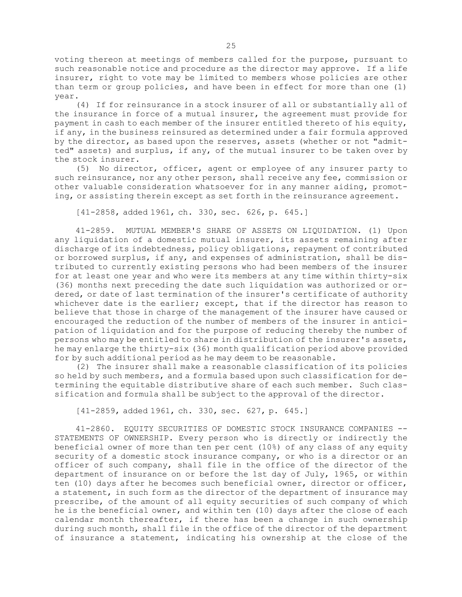voting thereon at meetings of members called for the purpose, pursuant to such reasonable notice and procedure as the director may approve. If <sup>a</sup> life insurer, right to vote may be limited to members whose policies are other than term or group policies, and have been in effect for more than one (1) year.

(4) If for reinsurance in <sup>a</sup> stock insurer of all or substantially all of the insurance in force of <sup>a</sup> mutual insurer, the agreement must provide for payment in cash to each member of the insurer entitled thereto of his equity, if any, in the business reinsured as determined under <sup>a</sup> fair formula approved by the director, as based upon the reserves, assets (whether or not "admitted" assets) and surplus, if any, of the mutual insurer to be taken over by the stock insurer.

(5) No director, officer, agent or employee of any insurer party to such reinsurance, nor any other person, shall receive any fee, commission or other valuable consideration whatsoever for in any manner aiding, promoting, or assisting therein except as set forth in the reinsurance agreement.

[41-2858, added 1961, ch. 330, sec. 626, p. 645.]

41-2859. MUTUAL MEMBER'S SHARE OF ASSETS ON LIQUIDATION. (1) Upon any liquidation of <sup>a</sup> domestic mutual insurer, its assets remaining after discharge of its indebtedness, policy obligations, repayment of contributed or borrowed surplus, if any, and expenses of administration, shall be distributed to currently existing persons who had been members of the insurer for at least one year and who were its members at any time within thirty-six (36) months next preceding the date such liquidation was authorized or ordered, or date of last termination of the insurer's certificate of authority whichever date is the earlier; except, that if the director has reason to believe that those in charge of the management of the insurer have caused or encouraged the reduction of the number of members of the insurer in anticipation of liquidation and for the purpose of reducing thereby the number of persons who may be entitled to share in distribution of the insurer's assets, he may enlarge the thirty-six (36) month qualification period above provided for by such additional period as he may deem to be reasonable.

(2) The insurer shall make <sup>a</sup> reasonable classification of its policies so held by such members, and <sup>a</sup> formula based upon such classification for determining the equitable distributive share of each such member. Such classification and formula shall be subject to the approval of the director.

[41-2859, added 1961, ch. 330, sec. 627, p. 645.]

41-2860. EQUITY SECURITIES OF DOMESTIC STOCK INSURANCE COMPANIES -- STATEMENTS OF OWNERSHIP. Every person who is directly or indirectly the beneficial owner of more than ten per cent (10%) of any class of any equity security of <sup>a</sup> domestic stock insurance company, or who is <sup>a</sup> director or an officer of such company, shall file in the office of the director of the department of insurance on or before the 1st day of July, 1965, or within ten (10) days after he becomes such beneficial owner, director or officer, <sup>a</sup> statement, in such form as the director of the department of insurance may prescribe, of the amount of all equity securities of such company of which he is the beneficial owner, and within ten (10) days after the close of each calendar month thereafter, if there has been <sup>a</sup> change in such ownership during such month, shall file in the office of the director of the department of insurance <sup>a</sup> statement, indicating his ownership at the close of the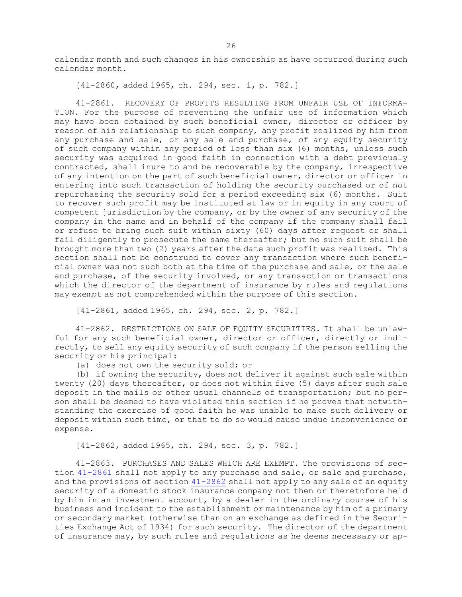calendar month and such changes in his ownership as have occurred during such calendar month.

[41-2860, added 1965, ch. 294, sec. 1, p. 782.]

41-2861. RECOVERY OF PROFITS RESULTING FROM UNFAIR USE OF INFORMA-TION. For the purpose of preventing the unfair use of information which may have been obtained by such beneficial owner, director or officer by reason of his relationship to such company, any profit realized by him from any purchase and sale, or any sale and purchase, of any equity security of such company within any period of less than six (6) months, unless such security was acquired in good faith in connection with <sup>a</sup> debt previously contracted, shall inure to and be recoverable by the company, irrespective of any intention on the part of such beneficial owner, director or officer in entering into such transaction of holding the security purchased or of not repurchasing the security sold for <sup>a</sup> period exceeding six (6) months. Suit to recover such profit may be instituted at law or in equity in any court of competent jurisdiction by the company, or by the owner of any security of the company in the name and in behalf of the company if the company shall fail or refuse to bring such suit within sixty (60) days after request or shall fail diligently to prosecute the same thereafter; but no such suit shall be brought more than two (2) years after the date such profit was realized. This section shall not be construed to cover any transaction where such beneficial owner was not such both at the time of the purchase and sale, or the sale and purchase, of the security involved, or any transaction or transactions which the director of the department of insurance by rules and regulations may exempt as not comprehended within the purpose of this section.

[41-2861, added 1965, ch. 294, sec. 2, p. 782.]

41-2862. RESTRICTIONS ON SALE OF EQUITY SECURITIES. It shall be unlawful for any such beneficial owner, director or officer, directly or indirectly, to sell any equity security of such company if the person selling the security or his principal:

(a) does not own the security sold; or

(b) if owning the security, does not deliver it against such sale within twenty (20) days thereafter, or does not within five (5) days after such sale deposit in the mails or other usual channels of transportation; but no person shall be deemed to have violated this section if he proves that notwithstanding the exercise of good faith he was unable to make such delivery or deposit within such time, or that to do so would cause undue inconvenience or expense.

[41-2862, added 1965, ch. 294, sec. 3, p. 782.]

41-2863. PURCHASES AND SALES WHICH ARE EXEMPT. The provisions of sec-tion [41-2861](https://legislature.idaho.gov/statutesrules/idstat/Title41/T41CH28/SECT41-2861) shall not apply to any purchase and sale, or sale and purchase, and the provisions of section [41-2862](https://legislature.idaho.gov/statutesrules/idstat/Title41/T41CH28/SECT41-2862) shall not apply to any sale of an equity security of <sup>a</sup> domestic stock insurance company not then or theretofore held by him in an investment account, by <sup>a</sup> dealer in the ordinary course of his business and incident to the establishment or maintenance by him of <sup>a</sup> primary or secondary market (otherwise than on an exchange as defined in the Securities Exchange Act of 1934) for such security. The director of the department of insurance may, by such rules and regulations as he deems necessary or ap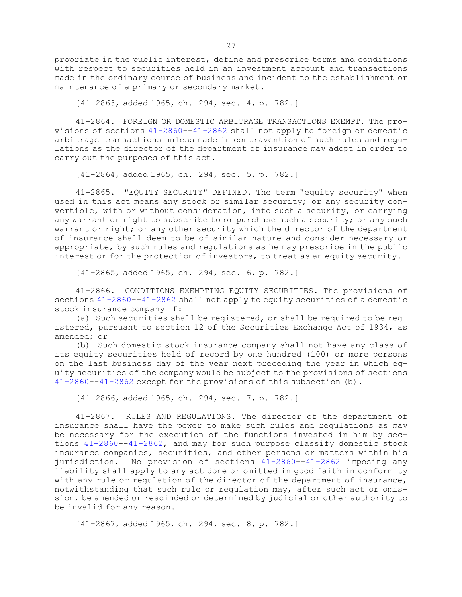propriate in the public interest, define and prescribe terms and conditions with respect to securities held in an investment account and transactions made in the ordinary course of business and incident to the establishment or maintenance of <sup>a</sup> primary or secondary market.

[41-2863, added 1965, ch. 294, sec. 4, p. 782.]

41-2864. FOREIGN OR DOMESTIC ARBITRAGE TRANSACTIONS EXEMPT. The provisions of sections [41-2860](https://legislature.idaho.gov/statutesrules/idstat/Title41/T41CH28/SECT41-2860)--[41-2862](https://legislature.idaho.gov/statutesrules/idstat/Title41/T41CH28/SECT41-2862) shall not apply to foreign or domestic arbitrage transactions unless made in contravention of such rules and regulations as the director of the department of insurance may adopt in order to carry out the purposes of this act.

[41-2864, added 1965, ch. 294, sec. 5, p. 782.]

41-2865. "EQUITY SECURITY" DEFINED. The term "equity security" when used in this act means any stock or similar security; or any security convertible, with or without consideration, into such <sup>a</sup> security, or carrying any warrant or right to subscribe to or purchase such <sup>a</sup> security; or any such warrant or right; or any other security which the director of the department of insurance shall deem to be of similar nature and consider necessary or appropriate, by such rules and regulations as he may prescribe in the public interest or for the protection of investors, to treat as an equity security.

[41-2865, added 1965, ch. 294, sec. 6, p. 782.]

41-2866. CONDITIONS EXEMPTING EQUITY SECURITIES. The provisions of sections  $41-2860-41-2862$  $41-2860-41-2862$  $41-2860-41-2862$  shall not apply to equity securities of a domestic stock insurance company if:

(a) Such securities shall be registered, or shall be required to be registered, pursuant to section 12 of the Securities Exchange Act of 1934, as amended; or

(b) Such domestic stock insurance company shall not have any class of its equity securities held of record by one hundred (100) or more persons on the last business day of the year next preceding the year in which equity securities of the company would be subject to the provisions of sections [41-2860](https://legislature.idaho.gov/statutesrules/idstat/Title41/T41CH28/SECT41-2860)--[41-2862](https://legislature.idaho.gov/statutesrules/idstat/Title41/T41CH28/SECT41-2862) except for the provisions of this subsection (b).

[41-2866, added 1965, ch. 294, sec. 7, p. 782.]

41-2867. RULES AND REGULATIONS. The director of the department of insurance shall have the power to make such rules and regulations as may be necessary for the execution of the functions invested in him by sections [41-2860](https://legislature.idaho.gov/statutesrules/idstat/Title41/T41CH28/SECT41-2860)--[41-2862](https://legislature.idaho.gov/statutesrules/idstat/Title41/T41CH28/SECT41-2862), and may for such purpose classify domestic stock insurance companies, securities, and other persons or matters within his jurisdiction. No provision of sections  $41-2860-41-2862$  $41-2860-41-2862$  $41-2860-41-2862$  imposing any liability shall apply to any act done or omitted in good faith in conformity with any rule or regulation of the director of the department of insurance, notwithstanding that such rule or regulation may, after such act or omission, be amended or rescinded or determined by judicial or other authority to be invalid for any reason.

[41-2867, added 1965, ch. 294, sec. 8, p. 782.]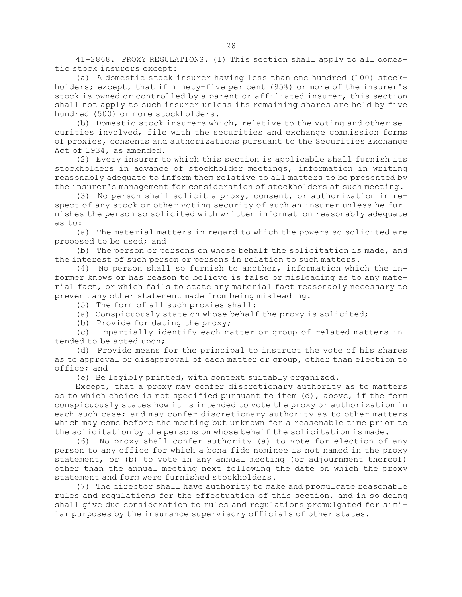41-2868. PROXY REGULATIONS. (1) This section shall apply to all domestic stock insurers except:

(a) <sup>A</sup> domestic stock insurer having less than one hundred (100) stockholders; except, that if ninety-five per cent (95%) or more of the insurer's stock is owned or controlled by <sup>a</sup> parent or affiliated insurer, this section shall not apply to such insurer unless its remaining shares are held by five hundred (500) or more stockholders.

(b) Domestic stock insurers which, relative to the voting and other securities involved, file with the securities and exchange commission forms of proxies, consents and authorizations pursuant to the Securities Exchange Act of 1934, as amended.

(2) Every insurer to which this section is applicable shall furnish its stockholders in advance of stockholder meetings, information in writing reasonably adequate to inform them relative to all matters to be presented by the insurer's management for consideration of stockholders at such meeting.

(3) No person shall solicit <sup>a</sup> proxy, consent, or authorization in respect of any stock or other voting security of such an insurer unless he furnishes the person so solicited with written information reasonably adequate as to:

(a) The material matters in regard to which the powers so solicited are proposed to be used; and

(b) The person or persons on whose behalf the solicitation is made, and the interest of such person or persons in relation to such matters.

(4) No person shall so furnish to another, information which the informer knows or has reason to believe is false or misleading as to any material fact, or which fails to state any material fact reasonably necessary to prevent any other statement made from being misleading.

(5) The form of all such proxies shall:

(a) Conspicuously state on whose behalf the proxy is solicited;

(b) Provide for dating the proxy;

(c) Impartially identify each matter or group of related matters intended to be acted upon;

(d) Provide means for the principal to instruct the vote of his shares as to approval or disapproval of each matter or group, other than election to office; and

(e) Be legibly printed, with context suitably organized.

Except, that <sup>a</sup> proxy may confer discretionary authority as to matters as to which choice is not specified pursuant to item (d), above, if the form conspicuously states how it is intended to vote the proxy or authorization in each such case; and may confer discretionary authority as to other matters which may come before the meeting but unknown for <sup>a</sup> reasonable time prior to the solicitation by the persons on whose behalf the solicitation is made.

(6) No proxy shall confer authority (a) to vote for election of any person to any office for which <sup>a</sup> bona fide nominee is not named in the proxy statement, or (b) to vote in any annual meeting (or adjournment thereof) other than the annual meeting next following the date on which the proxy statement and form were furnished stockholders.

(7) The director shall have authority to make and promulgate reasonable rules and regulations for the effectuation of this section, and in so doing shall give due consideration to rules and regulations promulgated for similar purposes by the insurance supervisory officials of other states.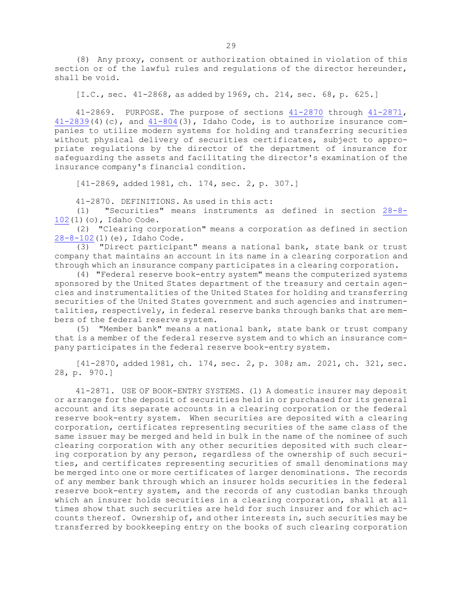(8) Any proxy, consent or authorization obtained in violation of this section or of the lawful rules and regulations of the director hereunder, shall be void.

[I.C., sec. 41-2868, as added by 1969, ch. 214, sec. 68, p. 625.]

41-2869. PURPOSE. The purpose of sections [41-2870](https://legislature.idaho.gov/statutesrules/idstat/Title41/T41CH28/SECT41-2870) through [41-2871](https://legislature.idaho.gov/statutesrules/idstat/Title41/T41CH28/SECT41-2871),  $41-2839(4)$  $41-2839(4)$  (c), and  $41-804(3)$  $41-804(3)$ , Idaho Code, is to authorize insurance companies to utilize modern systems for holding and transferring securities without physical delivery of securities certificates, subject to appropriate regulations by the director of the department of insurance for safeguarding the assets and facilitating the director's examination of the insurance company's financial condition.

[41-2869, added 1981, ch. 174, sec. 2, p. 307.]

41-2870. DEFINITIONS. As used in this act:

(1) "Securities" means instruments as defined in section [28-8-](https://legislature.idaho.gov/statutesrules/idstat/Title28/T28CH8/SECT28-8-102) [102](https://legislature.idaho.gov/statutesrules/idstat/Title28/T28CH8/SECT28-8-102)(1)(o), Idaho Code.

(2) "Clearing corporation" means <sup>a</sup> corporation as defined in section [28-8-102](https://legislature.idaho.gov/statutesrules/idstat/Title28/T28CH8/SECT28-8-102)(1)(e), Idaho Code.

(3) "Direct participant" means <sup>a</sup> national bank, state bank or trust company that maintains an account in its name in <sup>a</sup> clearing corporation and through which an insurance company participates in <sup>a</sup> clearing corporation.

(4) "Federal reserve book-entry system" means the computerized systems sponsored by the United States department of the treasury and certain agencies and instrumentalities of the United States for holding and transferring securities of the United States government and such agencies and instrumentalities, respectively, in federal reserve banks through banks that are members of the federal reserve system.

(5) "Member bank" means <sup>a</sup> national bank, state bank or trust company that is <sup>a</sup> member of the federal reserve system and to which an insurance company participates in the federal reserve book-entry system.

[41-2870, added 1981, ch. 174, sec. 2, p. 308; am. 2021, ch. 321, sec. 28, p. 970.]

41-2871. USE OF BOOK-ENTRY SYSTEMS. (1) <sup>A</sup> domestic insurer may deposit or arrange for the deposit of securities held in or purchased for its general account and its separate accounts in <sup>a</sup> clearing corporation or the federal reserve book-entry system. When securities are deposited with <sup>a</sup> clearing corporation, certificates representing securities of the same class of the same issuer may be merged and held in bulk in the name of the nominee of such clearing corporation with any other securities deposited with such clearing corporation by any person, regardless of the ownership of such securities, and certificates representing securities of small denominations may be merged into one or more certificates of larger denominations. The records of any member bank through which an insurer holds securities in the federal reserve book-entry system, and the records of any custodian banks through which an insurer holds securities in <sup>a</sup> clearing corporation, shall at all times show that such securities are held for such insurer and for which accounts thereof. Ownership of, and other interests in, such securities may be transferred by bookkeeping entry on the books of such clearing corporation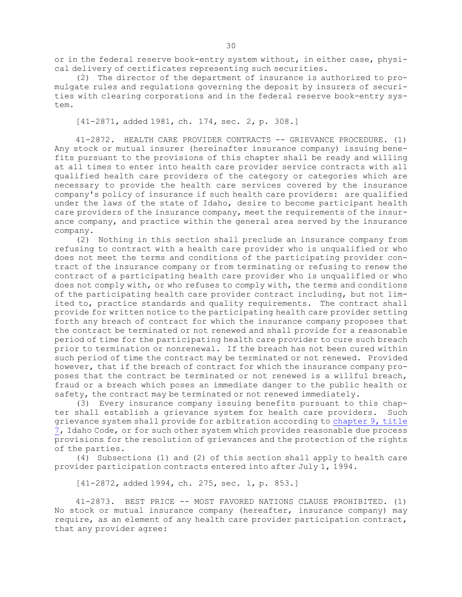or in the federal reserve book-entry system without, in either case, physical delivery of certificates representing such securities.

(2) The director of the department of insurance is authorized to promulgate rules and regulations governing the deposit by insurers of securities with clearing corporations and in the federal reserve book-entry system.

[41-2871, added 1981, ch. 174, sec. 2, p. 308.]

41-2872. HEALTH CARE PROVIDER CONTRACTS -- GRIEVANCE PROCEDURE. (1) Any stock or mutual insurer (hereinafter insurance company) issuing benefits pursuant to the provisions of this chapter shall be ready and willing at all times to enter into health care provider service contracts with all qualified health care providers of the category or categories which are necessary to provide the health care services covered by the insurance company's policy of insurance if such health care providers: are qualified under the laws of the state of Idaho, desire to become participant health care providers of the insurance company, meet the requirements of the insurance company, and practice within the general area served by the insurance company.

(2) Nothing in this section shall preclude an insurance company from refusing to contract with <sup>a</sup> health care provider who is unqualified or who does not meet the terms and conditions of the participating provider contract of the insurance company or from terminating or refusing to renew the contract of <sup>a</sup> participating health care provider who is unqualified or who does not comply with, or who refuses to comply with, the terms and conditions of the participating health care provider contract including, but not limited to, practice standards and quality requirements. The contract shall provide for written notice to the participating health care provider setting forth any breach of contract for which the insurance company proposes that the contract be terminated or not renewed and shall provide for <sup>a</sup> reasonable period of time for the participating health care provider to cure such breach prior to termination or nonrenewal. If the breach has not been cured within such period of time the contract may be terminated or not renewed. Provided however, that if the breach of contract for which the insurance company proposes that the contract be terminated or not renewed is <sup>a</sup> willful breach, fraud or <sup>a</sup> breach which poses an immediate danger to the public health or safety, the contract may be terminated or not renewed immediately.

(3) Every insurance company issuing benefits pursuant to this chapter shall establish <sup>a</sup> grievance system for health care providers. Such grievance system shall provide for arbitration according to [chapter](https://legislature.idaho.gov/statutesrules/idstat/Title7/T7CH9) 9, title [7](https://legislature.idaho.gov/statutesrules/idstat/Title7/T7CH9), Idaho Code, or for such other system which provides reasonable due process provisions for the resolution of grievances and the protection of the rights of the parties.

(4) Subsections (1) and (2) of this section shall apply to health care provider participation contracts entered into after July 1, 1994.

[41-2872, added 1994, ch. 275, sec. 1, p. 853.]

41-2873. BEST PRICE -- MOST FAVORED NATIONS CLAUSE PROHIBITED. (1) No stock or mutual insurance company (hereafter, insurance company) may require, as an element of any health care provider participation contract, that any provider agree: